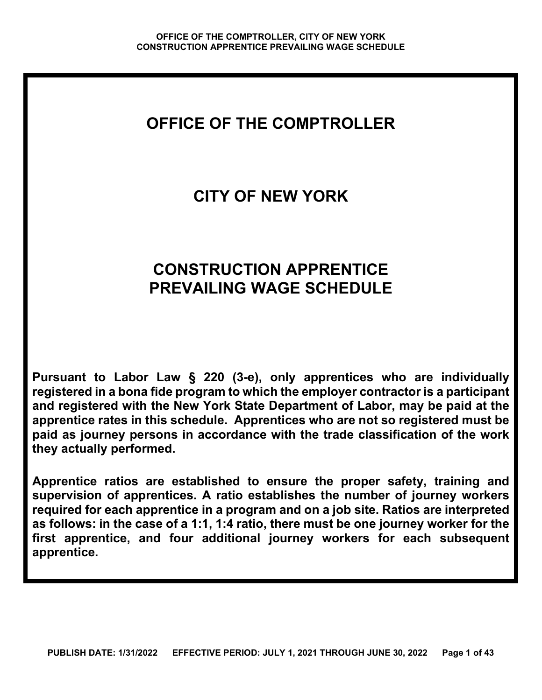# **OFFICE OF THE COMPTROLLER**

# **CITY OF NEW YORK**

# **CONSTRUCTION APPRENTICE PREVAILING WAGE SCHEDULE**

**Pursuant to Labor Law § 220 (3-e), only apprentices who are individually registered in a bona fide program to which the employer contractor is a participant and registered with the New York State Department of Labor, may be paid at the apprentice rates in this schedule. Apprentices who are not so registered must be paid as journey persons in accordance with the trade classification of the work they actually performed.**

**Apprentice ratios are established to ensure the proper safety, training and supervision of apprentices. A ratio establishes the number of journey workers required for each apprentice in a program and on a job site. Ratios are interpreted as follows: in the case of a 1:1, 1:4 ratio, there must be one journey worker for the first apprentice, and four additional journey workers for each subsequent apprentice.**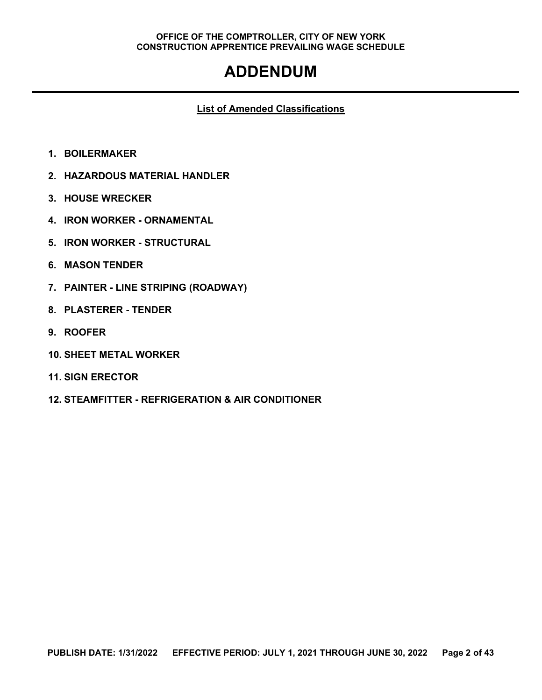# **ADDENDUM**

#### **List of Amended Classifications**

- **1. BOILERMAKER**
- **2. HAZARDOUS MATERIAL HANDLER**
- **3. HOUSE WRECKER**
- **4. IRON WORKER - ORNAMENTAL**
- **5. IRON WORKER - STRUCTURAL**
- **6. MASON TENDER**
- **7. PAINTER - LINE STRIPING (ROADWAY)**
- **8. PLASTERER - TENDER**
- **9. ROOFER**
- **10. SHEET METAL WORKER**
- **11. SIGN ERECTOR**
- **12. STEAMFITTER - REFRIGERATION & AIR CONDITIONER**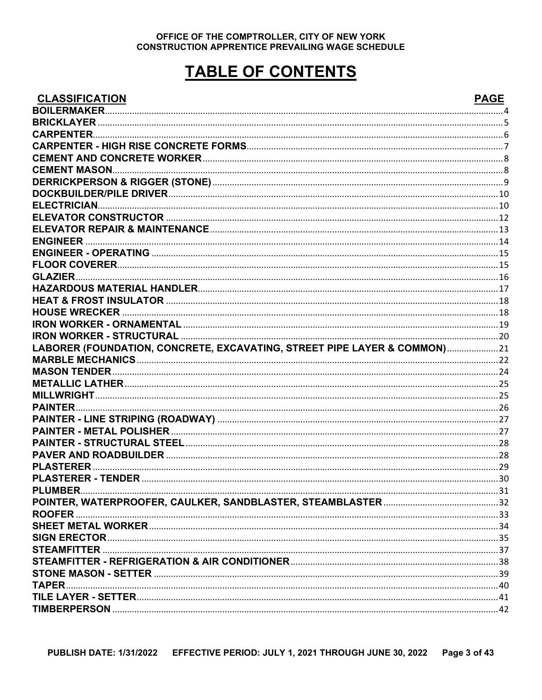# **TABLE OF CONTENTS**

#### **CLASSIFICATION**

# **DAGE**

| ייטו וטאי יוטא                                                           | ' UU |
|--------------------------------------------------------------------------|------|
|                                                                          |      |
|                                                                          |      |
|                                                                          |      |
|                                                                          |      |
|                                                                          |      |
| <b>CEMENT MASON.</b>                                                     |      |
|                                                                          |      |
|                                                                          |      |
|                                                                          |      |
|                                                                          |      |
|                                                                          |      |
|                                                                          |      |
|                                                                          |      |
|                                                                          |      |
|                                                                          |      |
|                                                                          |      |
|                                                                          |      |
|                                                                          |      |
|                                                                          |      |
|                                                                          |      |
| LABORER (FOUNDATION, CONCRETE, EXCAVATING, STREET PIPE LAYER & COMMON)21 |      |
|                                                                          |      |
|                                                                          |      |
|                                                                          |      |
|                                                                          |      |
|                                                                          |      |
|                                                                          |      |
|                                                                          |      |
|                                                                          |      |
|                                                                          |      |
|                                                                          |      |
|                                                                          |      |
|                                                                          |      |
|                                                                          |      |
| <b>ROOFER</b>                                                            |      |
|                                                                          |      |
|                                                                          |      |
|                                                                          |      |
|                                                                          |      |
|                                                                          |      |
|                                                                          |      |
|                                                                          |      |
|                                                                          |      |
|                                                                          |      |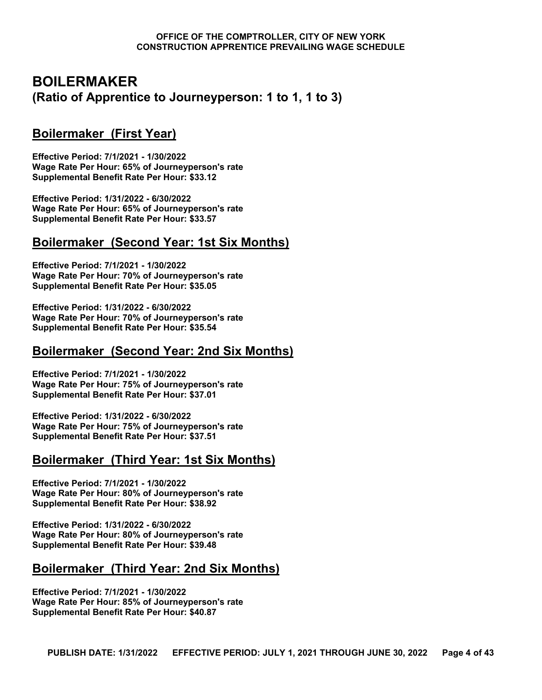# <span id="page-3-0"></span>**BOILERMAKER (Ratio of Apprentice to Journeyperson: 1 to 1, 1 to 3)**

# **Boilermaker (First Year)**

**Effective Period: 7/1/2021 - 1/30/2022 Wage Rate Per Hour: 65% of Journeyperson's rate Supplemental Benefit Rate Per Hour: \$33.12**

**Effective Period: 1/31/2022 - 6/30/2022 Wage Rate Per Hour: 65% of Journeyperson's rate Supplemental Benefit Rate Per Hour: \$33.57**

# **Boilermaker (Second Year: 1st Six Months)**

**Effective Period: 7/1/2021 - 1/30/2022 Wage Rate Per Hour: 70% of Journeyperson's rate Supplemental Benefit Rate Per Hour: \$35.05**

**Effective Period: 1/31/2022 - 6/30/2022 Wage Rate Per Hour: 70% of Journeyperson's rate Supplemental Benefit Rate Per Hour: \$35.54**

#### **Boilermaker (Second Year: 2nd Six Months)**

**Effective Period: 7/1/2021 - 1/30/2022 Wage Rate Per Hour: 75% of Journeyperson's rate Supplemental Benefit Rate Per Hour: \$37.01**

**Effective Period: 1/31/2022 - 6/30/2022 Wage Rate Per Hour: 75% of Journeyperson's rate Supplemental Benefit Rate Per Hour: \$37.51**

# **Boilermaker (Third Year: 1st Six Months)**

**Effective Period: 7/1/2021 - 1/30/2022 Wage Rate Per Hour: 80% of Journeyperson's rate Supplemental Benefit Rate Per Hour: \$38.92**

**Effective Period: 1/31/2022 - 6/30/2022 Wage Rate Per Hour: 80% of Journeyperson's rate Supplemental Benefit Rate Per Hour: \$39.48**

# **Boilermaker (Third Year: 2nd Six Months)**

**Effective Period: 7/1/2021 - 1/30/2022 Wage Rate Per Hour: 85% of Journeyperson's rate Supplemental Benefit Rate Per Hour: \$40.87**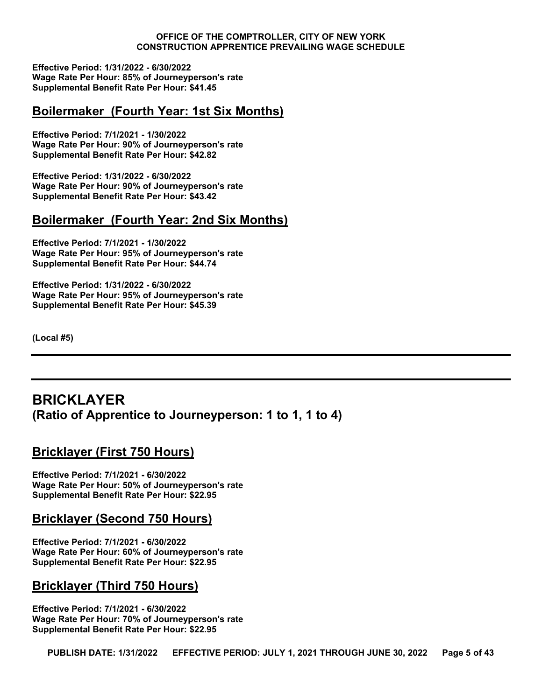**Effective Period: 1/31/2022 - 6/30/2022 Wage Rate Per Hour: 85% of Journeyperson's rate Supplemental Benefit Rate Per Hour: \$41.45**

#### **Boilermaker (Fourth Year: 1st Six Months)**

**Effective Period: 7/1/2021 - 1/30/2022 Wage Rate Per Hour: 90% of Journeyperson's rate Supplemental Benefit Rate Per Hour: \$42.82**

**Effective Period: 1/31/2022 - 6/30/2022 Wage Rate Per Hour: 90% of Journeyperson's rate Supplemental Benefit Rate Per Hour: \$43.42**

# **Boilermaker (Fourth Year: 2nd Six Months)**

**Effective Period: 7/1/2021 - 1/30/2022 Wage Rate Per Hour: 95% of Journeyperson's rate Supplemental Benefit Rate Per Hour: \$44.74**

**Effective Period: 1/31/2022 - 6/30/2022 Wage Rate Per Hour: 95% of Journeyperson's rate Supplemental Benefit Rate Per Hour: \$45.39**

**(Local #5)**

# <span id="page-4-0"></span>**BRICKLAYER (Ratio of Apprentice to Journeyperson: 1 to 1, 1 to 4)**

# **Bricklayer (First 750 Hours)**

**Effective Period: 7/1/2021 - 6/30/2022 Wage Rate Per Hour: 50% of Journeyperson's rate Supplemental Benefit Rate Per Hour: \$22.95**

#### **Bricklayer (Second 750 Hours)**

**Effective Period: 7/1/2021 - 6/30/2022 Wage Rate Per Hour: 60% of Journeyperson's rate Supplemental Benefit Rate Per Hour: \$22.95**

#### **Bricklayer (Third 750 Hours)**

**Effective Period: 7/1/2021 - 6/30/2022 Wage Rate Per Hour: 70% of Journeyperson's rate Supplemental Benefit Rate Per Hour: \$22.95**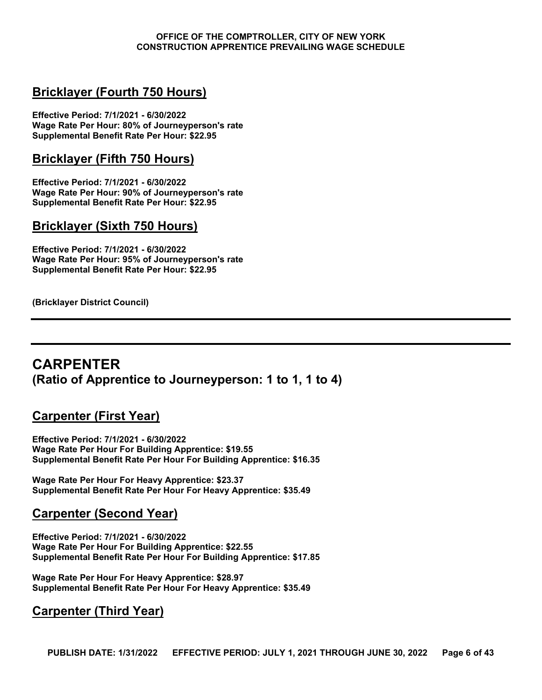# **Bricklayer (Fourth 750 Hours)**

**Effective Period: 7/1/2021 - 6/30/2022 Wage Rate Per Hour: 80% of Journeyperson's rate Supplemental Benefit Rate Per Hour: \$22.95**

# **Bricklayer (Fifth 750 Hours)**

**Effective Period: 7/1/2021 - 6/30/2022 Wage Rate Per Hour: 90% of Journeyperson's rate Supplemental Benefit Rate Per Hour: \$22.95**

#### **Bricklayer (Sixth 750 Hours)**

**Effective Period: 7/1/2021 - 6/30/2022 Wage Rate Per Hour: 95% of Journeyperson's rate Supplemental Benefit Rate Per Hour: \$22.95**

**(Bricklayer District Council)**

# <span id="page-5-0"></span>**CARPENTER (Ratio of Apprentice to Journeyperson: 1 to 1, 1 to 4)**

# **Carpenter (First Year)**

**Effective Period: 7/1/2021 - 6/30/2022 Wage Rate Per Hour For Building Apprentice: \$19.55 Supplemental Benefit Rate Per Hour For Building Apprentice: \$16.35**

**Wage Rate Per Hour For Heavy Apprentice: \$23.37 Supplemental Benefit Rate Per Hour For Heavy Apprentice: \$35.49**

# **Carpenter (Second Year)**

**Effective Period: 7/1/2021 - 6/30/2022 Wage Rate Per Hour For Building Apprentice: \$22.55 Supplemental Benefit Rate Per Hour For Building Apprentice: \$17.85**

**Wage Rate Per Hour For Heavy Apprentice: \$28.97 Supplemental Benefit Rate Per Hour For Heavy Apprentice: \$35.49**

# **Carpenter (Third Year)**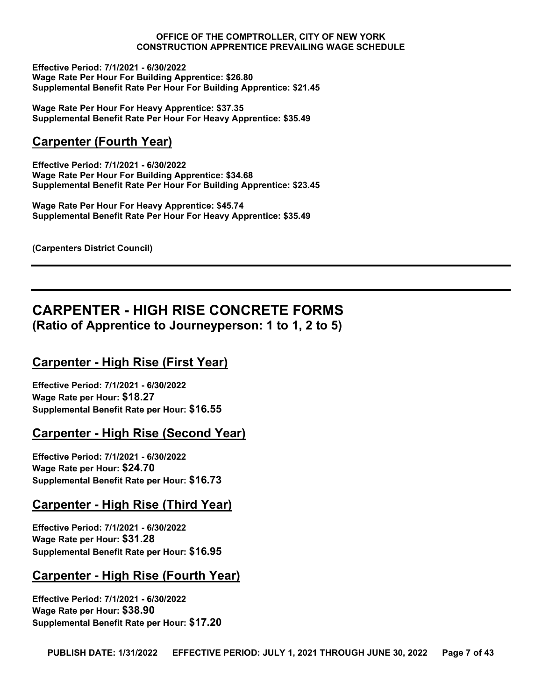**Effective Period: 7/1/2021 - 6/30/2022 Wage Rate Per Hour For Building Apprentice: \$26.80 Supplemental Benefit Rate Per Hour For Building Apprentice: \$21.45**

**Wage Rate Per Hour For Heavy Apprentice: \$37.35 Supplemental Benefit Rate Per Hour For Heavy Apprentice: \$35.49**

# **Carpenter (Fourth Year)**

**Effective Period: 7/1/2021 - 6/30/2022 Wage Rate Per Hour For Building Apprentice: \$34.68 Supplemental Benefit Rate Per Hour For Building Apprentice: \$23.45**

**Wage Rate Per Hour For Heavy Apprentice: \$45.74 Supplemental Benefit Rate Per Hour For Heavy Apprentice: \$35.49**

**(Carpenters District Council)**

# <span id="page-6-0"></span>**CARPENTER - HIGH RISE CONCRETE FORMS (Ratio of Apprentice to Journeyperson: 1 to 1, 2 to 5)**

# **Carpenter - High Rise (First Year)**

**Effective Period: 7/1/2021 - 6/30/2022 Wage Rate per Hour: \$18.27 Supplemental Benefit Rate per Hour: \$16.55**

# **Carpenter - High Rise (Second Year)**

**Effective Period: 7/1/2021 - 6/30/2022 Wage Rate per Hour: \$24.70 Supplemental Benefit Rate per Hour: \$16.73**

# **Carpenter - High Rise (Third Year)**

**Effective Period: 7/1/2021 - 6/30/2022 Wage Rate per Hour: \$31.28 Supplemental Benefit Rate per Hour: \$16.95**

# **Carpenter - High Rise (Fourth Year)**

**Effective Period: 7/1/2021 - 6/30/2022 Wage Rate per Hour: \$38.90 Supplemental Benefit Rate per Hour: \$17.20**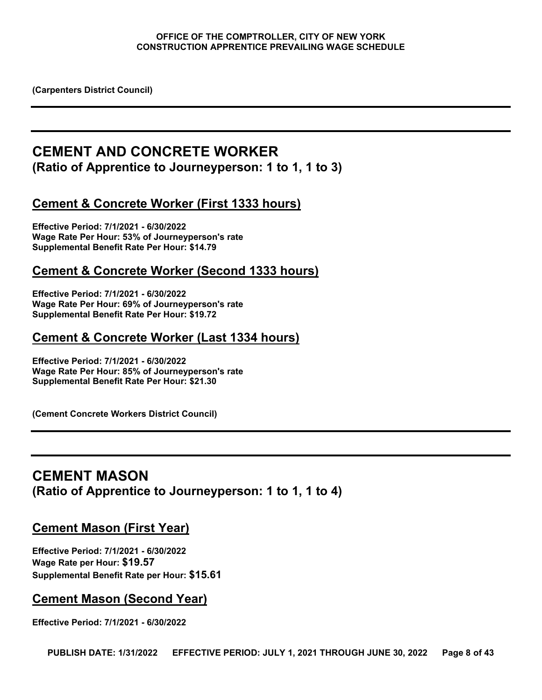**(Carpenters District Council)**

# <span id="page-7-0"></span>**CEMENT AND CONCRETE WORKER (Ratio of Apprentice to Journeyperson: 1 to 1, 1 to 3)**

# **Cement & Concrete Worker (First 1333 hours)**

**Effective Period: 7/1/2021 - 6/30/2022 Wage Rate Per Hour: 53% of Journeyperson's rate Supplemental Benefit Rate Per Hour: \$14.79**

# **Cement & Concrete Worker (Second 1333 hours)**

**Effective Period: 7/1/2021 - 6/30/2022 Wage Rate Per Hour: 69% of Journeyperson's rate Supplemental Benefit Rate Per Hour: \$19.72**

# **Cement & Concrete Worker (Last 1334 hours)**

**Effective Period: 7/1/2021 - 6/30/2022 Wage Rate Per Hour: 85% of Journeyperson's rate Supplemental Benefit Rate Per Hour: \$21.30**

**(Cement Concrete Workers District Council)**

# <span id="page-7-1"></span>**CEMENT MASON (Ratio of Apprentice to Journeyperson: 1 to 1, 1 to 4)**

#### **Cement Mason (First Year)**

**Effective Period: 7/1/2021 - 6/30/2022 Wage Rate per Hour: \$19.57 Supplemental Benefit Rate per Hour: \$15.61**

#### **Cement Mason (Second Year)**

**Effective Period: 7/1/2021 - 6/30/2022**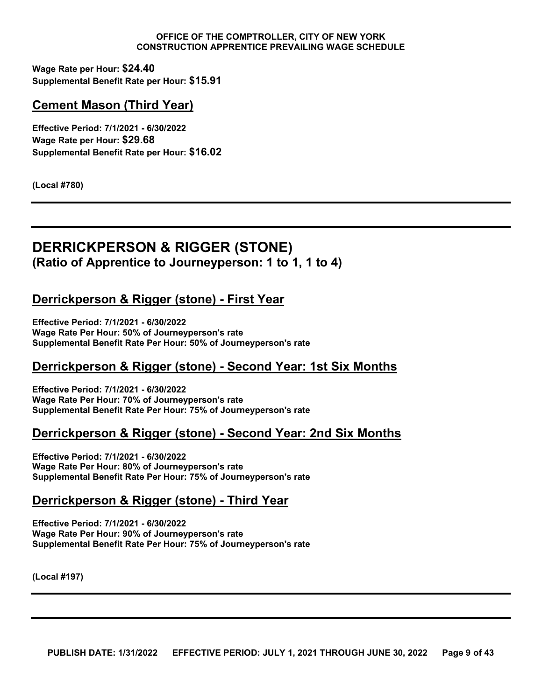**Wage Rate per Hour: \$24.40 Supplemental Benefit Rate per Hour: \$15.91**

# **Cement Mason (Third Year)**

**Effective Period: 7/1/2021 - 6/30/2022 Wage Rate per Hour: \$29.68 Supplemental Benefit Rate per Hour: \$16.02**

**(Local #780)**

# <span id="page-8-0"></span>**DERRICKPERSON & RIGGER (STONE) (Ratio of Apprentice to Journeyperson: 1 to 1, 1 to 4)**

# **Derrickperson & Rigger (stone) - First Year**

**Effective Period: 7/1/2021 - 6/30/2022 Wage Rate Per Hour: 50% of Journeyperson's rate Supplemental Benefit Rate Per Hour: 50% of Journeyperson's rate**

# **Derrickperson & Rigger (stone) - Second Year: 1st Six Months**

**Effective Period: 7/1/2021 - 6/30/2022 Wage Rate Per Hour: 70% of Journeyperson's rate Supplemental Benefit Rate Per Hour: 75% of Journeyperson's rate**

# **Derrickperson & Rigger (stone) - Second Year: 2nd Six Months**

**Effective Period: 7/1/2021 - 6/30/2022 Wage Rate Per Hour: 80% of Journeyperson's rate Supplemental Benefit Rate Per Hour: 75% of Journeyperson's rate**

#### **Derrickperson & Rigger (stone) - Third Year**

**Effective Period: 7/1/2021 - 6/30/2022 Wage Rate Per Hour: 90% of Journeyperson's rate Supplemental Benefit Rate Per Hour: 75% of Journeyperson's rate**

**(Local #197)**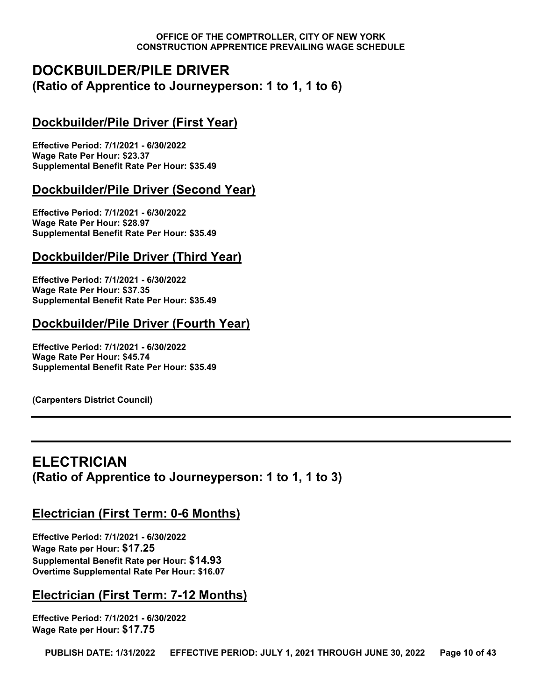# <span id="page-9-0"></span>**DOCKBUILDER/PILE DRIVER (Ratio of Apprentice to Journeyperson: 1 to 1, 1 to 6)**

# **Dockbuilder/Pile Driver (First Year)**

**Effective Period: 7/1/2021 - 6/30/2022 Wage Rate Per Hour: \$23.37 Supplemental Benefit Rate Per Hour: \$35.49**

# **Dockbuilder/Pile Driver (Second Year)**

**Effective Period: 7/1/2021 - 6/30/2022 Wage Rate Per Hour: \$28.97 Supplemental Benefit Rate Per Hour: \$35.49**

# **Dockbuilder/Pile Driver (Third Year)**

**Effective Period: 7/1/2021 - 6/30/2022 Wage Rate Per Hour: \$37.35 Supplemental Benefit Rate Per Hour: \$35.49**

# **Dockbuilder/Pile Driver (Fourth Year)**

**Effective Period: 7/1/2021 - 6/30/2022 Wage Rate Per Hour: \$45.74 Supplemental Benefit Rate Per Hour: \$35.49**

**(Carpenters District Council)**

# <span id="page-9-1"></span>**ELECTRICIAN (Ratio of Apprentice to Journeyperson: 1 to 1, 1 to 3)**

# **Electrician (First Term: 0-6 Months)**

**Effective Period: 7/1/2021 - 6/30/2022 Wage Rate per Hour: \$17.25 Supplemental Benefit Rate per Hour: \$14.93 Overtime Supplemental Rate Per Hour: \$16.07**

# **Electrician (First Term: 7-12 Months)**

**Effective Period: 7/1/2021 - 6/30/2022 Wage Rate per Hour: \$17.75**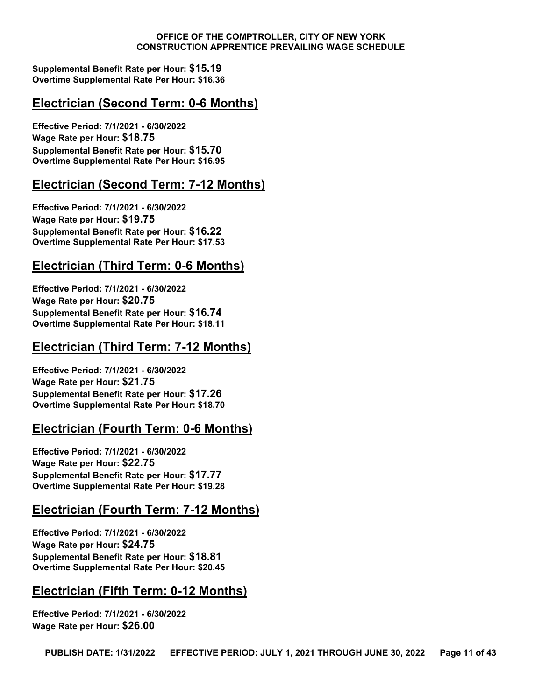**Supplemental Benefit Rate per Hour: \$15.19 Overtime Supplemental Rate Per Hour: \$16.36**

# **Electrician (Second Term: 0-6 Months)**

**Effective Period: 7/1/2021 - 6/30/2022 Wage Rate per Hour: \$18.75 Supplemental Benefit Rate per Hour: \$15.70 Overtime Supplemental Rate Per Hour: \$16.95**

# **Electrician (Second Term: 7-12 Months)**

**Effective Period: 7/1/2021 - 6/30/2022 Wage Rate per Hour: \$19.75 Supplemental Benefit Rate per Hour: \$16.22 Overtime Supplemental Rate Per Hour: \$17.53**

# **Electrician (Third Term: 0-6 Months)**

**Effective Period: 7/1/2021 - 6/30/2022 Wage Rate per Hour: \$20.75 Supplemental Benefit Rate per Hour: \$16.74 Overtime Supplemental Rate Per Hour: \$18.11**

# **Electrician (Third Term: 7-12 Months)**

**Effective Period: 7/1/2021 - 6/30/2022 Wage Rate per Hour: \$21.75 Supplemental Benefit Rate per Hour: \$17.26 Overtime Supplemental Rate Per Hour: \$18.70**

# **Electrician (Fourth Term: 0-6 Months)**

**Effective Period: 7/1/2021 - 6/30/2022 Wage Rate per Hour: \$22.75 Supplemental Benefit Rate per Hour: \$17.77 Overtime Supplemental Rate Per Hour: \$19.28**

# **Electrician (Fourth Term: 7-12 Months)**

**Effective Period: 7/1/2021 - 6/30/2022 Wage Rate per Hour: \$24.75 Supplemental Benefit Rate per Hour: \$18.81 Overtime Supplemental Rate Per Hour: \$20.45**

# **Electrician (Fifth Term: 0-12 Months)**

**Effective Period: 7/1/2021 - 6/30/2022 Wage Rate per Hour: \$26.00**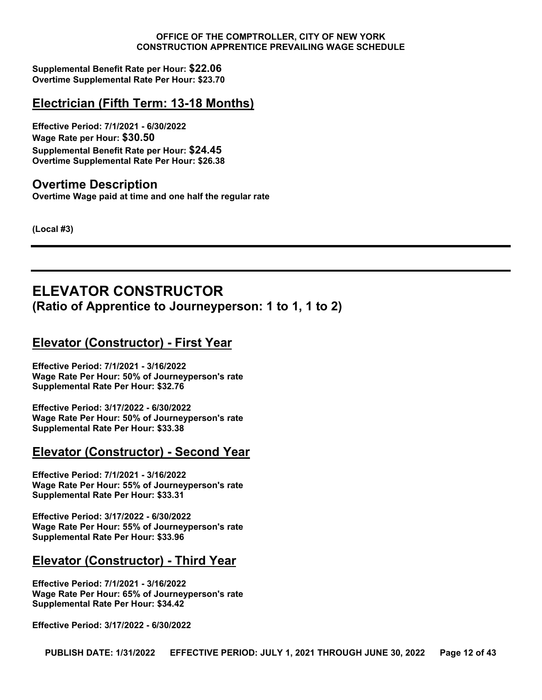**Supplemental Benefit Rate per Hour: \$22.06 Overtime Supplemental Rate Per Hour: \$23.70**

# **Electrician (Fifth Term: 13-18 Months)**

**Effective Period: 7/1/2021 - 6/30/2022 Wage Rate per Hour: \$30.50 Supplemental Benefit Rate per Hour: \$24.45 Overtime Supplemental Rate Per Hour: \$26.38**

# **Overtime Description**

**Overtime Wage paid at time and one half the regular rate**

**(Local #3)**

# <span id="page-11-0"></span>**ELEVATOR CONSTRUCTOR (Ratio of Apprentice to Journeyperson: 1 to 1, 1 to 2)**

# **Elevator (Constructor) - First Year**

**Effective Period: 7/1/2021 - 3/16/2022 Wage Rate Per Hour: 50% of Journeyperson's rate Supplemental Rate Per Hour: \$32.76**

**Effective Period: 3/17/2022 - 6/30/2022 Wage Rate Per Hour: 50% of Journeyperson's rate Supplemental Rate Per Hour: \$33.38**

# **Elevator (Constructor) - Second Year**

**Effective Period: 7/1/2021 - 3/16/2022 Wage Rate Per Hour: 55% of Journeyperson's rate Supplemental Rate Per Hour: \$33.31**

**Effective Period: 3/17/2022 - 6/30/2022 Wage Rate Per Hour: 55% of Journeyperson's rate Supplemental Rate Per Hour: \$33.96**

# **Elevator (Constructor) - Third Year**

**Effective Period: 7/1/2021 - 3/16/2022 Wage Rate Per Hour: 65% of Journeyperson's rate Supplemental Rate Per Hour: \$34.42**

**Effective Period: 3/17/2022 - 6/30/2022**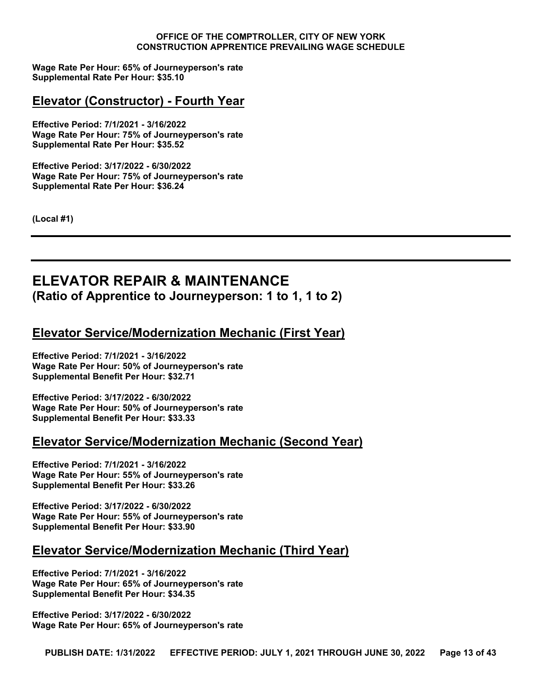**Wage Rate Per Hour: 65% of Journeyperson's rate Supplemental Rate Per Hour: \$35.10**

# **Elevator (Constructor) - Fourth Year**

**Effective Period: 7/1/2021 - 3/16/2022 Wage Rate Per Hour: 75% of Journeyperson's rate Supplemental Rate Per Hour: \$35.52**

**Effective Period: 3/17/2022 - 6/30/2022 Wage Rate Per Hour: 75% of Journeyperson's rate Supplemental Rate Per Hour: \$36.24**

**(Local #1)**

# <span id="page-12-0"></span>**ELEVATOR REPAIR & MAINTENANCE (Ratio of Apprentice to Journeyperson: 1 to 1, 1 to 2)**

# **Elevator Service/Modernization Mechanic (First Year)**

**Effective Period: 7/1/2021 - 3/16/2022 Wage Rate Per Hour: 50% of Journeyperson's rate Supplemental Benefit Per Hour: \$32.71**

**Effective Period: 3/17/2022 - 6/30/2022 Wage Rate Per Hour: 50% of Journeyperson's rate Supplemental Benefit Per Hour: \$33.33**

# **Elevator Service/Modernization Mechanic (Second Year)**

**Effective Period: 7/1/2021 - 3/16/2022 Wage Rate Per Hour: 55% of Journeyperson's rate Supplemental Benefit Per Hour: \$33.26**

**Effective Period: 3/17/2022 - 6/30/2022 Wage Rate Per Hour: 55% of Journeyperson's rate Supplemental Benefit Per Hour: \$33.90**

# **Elevator Service/Modernization Mechanic (Third Year)**

**Effective Period: 7/1/2021 - 3/16/2022 Wage Rate Per Hour: 65% of Journeyperson's rate Supplemental Benefit Per Hour: \$34.35**

**Effective Period: 3/17/2022 - 6/30/2022 Wage Rate Per Hour: 65% of Journeyperson's rate**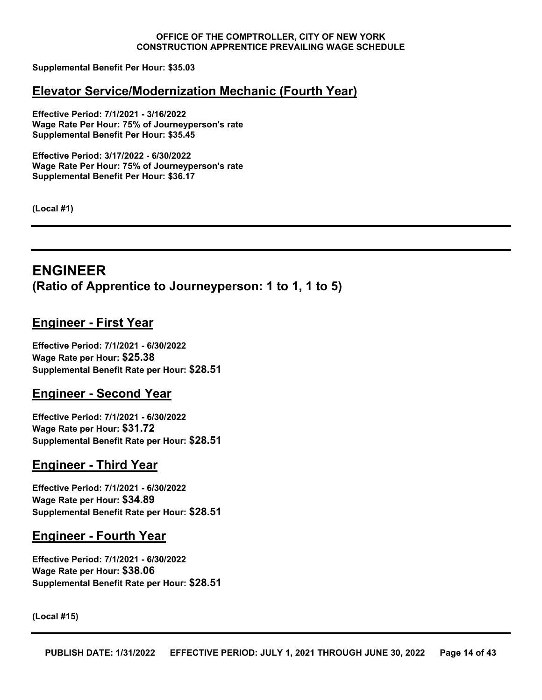**Supplemental Benefit Per Hour: \$35.03**

#### **Elevator Service/Modernization Mechanic (Fourth Year)**

**Effective Period: 7/1/2021 - 3/16/2022 Wage Rate Per Hour: 75% of Journeyperson's rate Supplemental Benefit Per Hour: \$35.45**

**Effective Period: 3/17/2022 - 6/30/2022 Wage Rate Per Hour: 75% of Journeyperson's rate Supplemental Benefit Per Hour: \$36.17**

**(Local #1)**

# <span id="page-13-0"></span>**ENGINEER (Ratio of Apprentice to Journeyperson: 1 to 1, 1 to 5)**

# **Engineer - First Year**

**Effective Period: 7/1/2021 - 6/30/2022 Wage Rate per Hour: \$25.38 Supplemental Benefit Rate per Hour: \$28.51**

#### **Engineer - Second Year**

**Effective Period: 7/1/2021 - 6/30/2022 Wage Rate per Hour: \$31.72 Supplemental Benefit Rate per Hour: \$28.51**

#### **Engineer - Third Year**

**Effective Period: 7/1/2021 - 6/30/2022 Wage Rate per Hour: \$34.89 Supplemental Benefit Rate per Hour: \$28.51**

#### **Engineer - Fourth Year**

**Effective Period: 7/1/2021 - 6/30/2022 Wage Rate per Hour: \$38.06 Supplemental Benefit Rate per Hour: \$28.51**

**(Local #15)**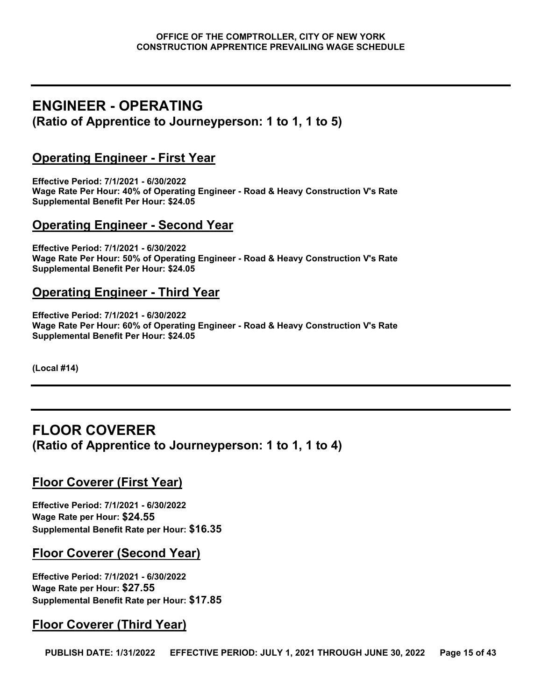# <span id="page-14-0"></span>**ENGINEER - OPERATING (Ratio of Apprentice to Journeyperson: 1 to 1, 1 to 5)**

# **Operating Engineer - First Year**

**Effective Period: 7/1/2021 - 6/30/2022 Wage Rate Per Hour: 40% of Operating Engineer - Road & Heavy Construction V's Rate Supplemental Benefit Per Hour: \$24.05**

# **Operating Engineer - Second Year**

**Effective Period: 7/1/2021 - 6/30/2022 Wage Rate Per Hour: 50% of Operating Engineer - Road & Heavy Construction V's Rate Supplemental Benefit Per Hour: \$24.05**

#### **Operating Engineer - Third Year**

**Effective Period: 7/1/2021 - 6/30/2022 Wage Rate Per Hour: 60% of Operating Engineer - Road & Heavy Construction V's Rate Supplemental Benefit Per Hour: \$24.05**

**(Local #14)**

# <span id="page-14-1"></span>**FLOOR COVERER (Ratio of Apprentice to Journeyperson: 1 to 1, 1 to 4)**

# **Floor Coverer (First Year)**

**Effective Period: 7/1/2021 - 6/30/2022 Wage Rate per Hour: \$24.55 Supplemental Benefit Rate per Hour: \$16.35**

# **Floor Coverer (Second Year)**

**Effective Period: 7/1/2021 - 6/30/2022 Wage Rate per Hour: \$27.55 Supplemental Benefit Rate per Hour: \$17.85**

# **Floor Coverer (Third Year)**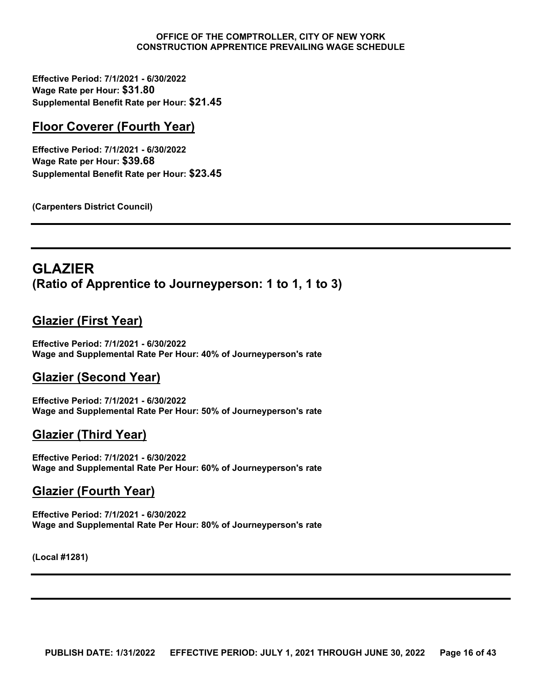**Effective Period: 7/1/2021 - 6/30/2022 Wage Rate per Hour: \$31.80 Supplemental Benefit Rate per Hour: \$21.45**

# **Floor Coverer (Fourth Year)**

**Effective Period: 7/1/2021 - 6/30/2022 Wage Rate per Hour: \$39.68 Supplemental Benefit Rate per Hour: \$23.45**

**(Carpenters District Council)**

# <span id="page-15-0"></span>**GLAZIER (Ratio of Apprentice to Journeyperson: 1 to 1, 1 to 3)**

# **Glazier (First Year)**

**Effective Period: 7/1/2021 - 6/30/2022 Wage and Supplemental Rate Per Hour: 40% of Journeyperson's rate**

# **Glazier (Second Year)**

**Effective Period: 7/1/2021 - 6/30/2022 Wage and Supplemental Rate Per Hour: 50% of Journeyperson's rate**

# **Glazier (Third Year)**

**Effective Period: 7/1/2021 - 6/30/2022 Wage and Supplemental Rate Per Hour: 60% of Journeyperson's rate**

# **Glazier (Fourth Year)**

**Effective Period: 7/1/2021 - 6/30/2022 Wage and Supplemental Rate Per Hour: 80% of Journeyperson's rate**

**(Local #1281)**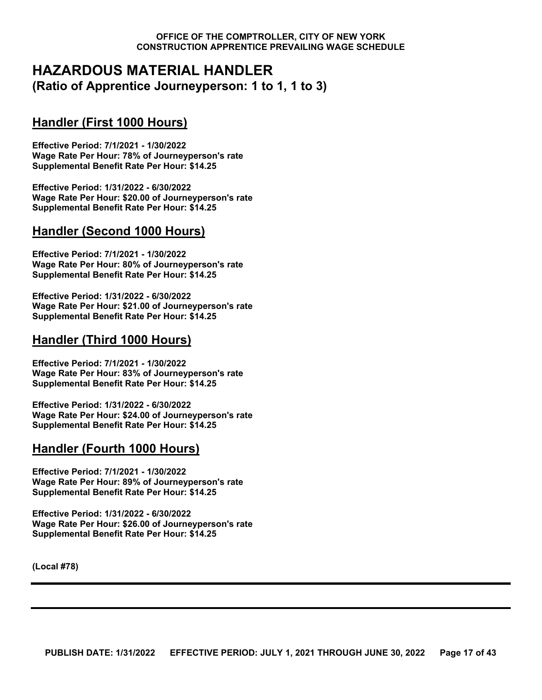# <span id="page-16-0"></span>**HAZARDOUS MATERIAL HANDLER (Ratio of Apprentice Journeyperson: 1 to 1, 1 to 3)**

# **Handler (First 1000 Hours)**

**Effective Period: 7/1/2021 - 1/30/2022 Wage Rate Per Hour: 78% of Journeyperson's rate Supplemental Benefit Rate Per Hour: \$14.25**

**Effective Period: 1/31/2022 - 6/30/2022 Wage Rate Per Hour: \$20.00 of Journeyperson's rate Supplemental Benefit Rate Per Hour: \$14.25**

# **Handler (Second 1000 Hours)**

**Effective Period: 7/1/2021 - 1/30/2022 Wage Rate Per Hour: 80% of Journeyperson's rate Supplemental Benefit Rate Per Hour: \$14.25**

**Effective Period: 1/31/2022 - 6/30/2022 Wage Rate Per Hour: \$21.00 of Journeyperson's rate Supplemental Benefit Rate Per Hour: \$14.25**

# **Handler (Third 1000 Hours)**

**Effective Period: 7/1/2021 - 1/30/2022 Wage Rate Per Hour: 83% of Journeyperson's rate Supplemental Benefit Rate Per Hour: \$14.25**

**Effective Period: 1/31/2022 - 6/30/2022 Wage Rate Per Hour: \$24.00 of Journeyperson's rate Supplemental Benefit Rate Per Hour: \$14.25**

# **Handler (Fourth 1000 Hours)**

**Effective Period: 7/1/2021 - 1/30/2022 Wage Rate Per Hour: 89% of Journeyperson's rate Supplemental Benefit Rate Per Hour: \$14.25**

**Effective Period: 1/31/2022 - 6/30/2022 Wage Rate Per Hour: \$26.00 of Journeyperson's rate Supplemental Benefit Rate Per Hour: \$14.25**

**(Local #78)**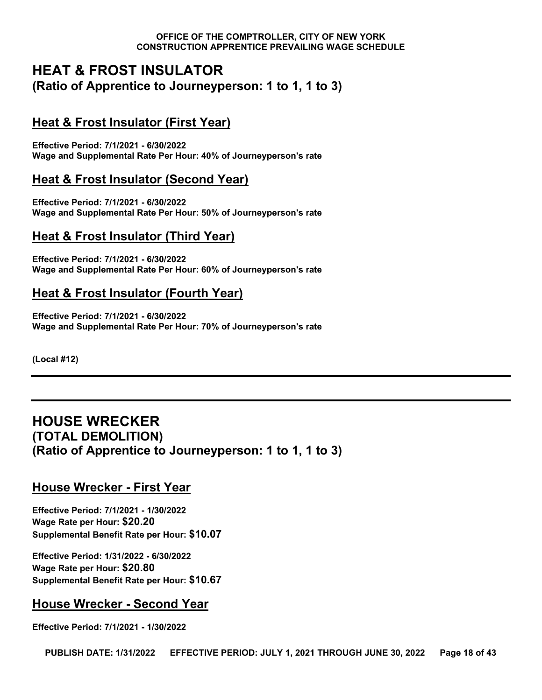# <span id="page-17-0"></span>**HEAT & FROST INSULATOR (Ratio of Apprentice to Journeyperson: 1 to 1, 1 to 3)**

# **Heat & Frost Insulator (First Year)**

**Effective Period: 7/1/2021 - 6/30/2022 Wage and Supplemental Rate Per Hour: 40% of Journeyperson's rate**

# **Heat & Frost Insulator (Second Year)**

**Effective Period: 7/1/2021 - 6/30/2022 Wage and Supplemental Rate Per Hour: 50% of Journeyperson's rate**

# **Heat & Frost Insulator (Third Year)**

**Effective Period: 7/1/2021 - 6/30/2022 Wage and Supplemental Rate Per Hour: 60% of Journeyperson's rate**

# **Heat & Frost Insulator (Fourth Year)**

**Effective Period: 7/1/2021 - 6/30/2022 Wage and Supplemental Rate Per Hour: 70% of Journeyperson's rate**

**(Local #12)**

# <span id="page-17-1"></span>**HOUSE WRECKER (TOTAL DEMOLITION) (Ratio of Apprentice to Journeyperson: 1 to 1, 1 to 3)**

# **House Wrecker - First Year**

**Effective Period: 7/1/2021 - 1/30/2022 Wage Rate per Hour: \$20.20 Supplemental Benefit Rate per Hour: \$10.07**

**Effective Period: 1/31/2022 - 6/30/2022 Wage Rate per Hour: \$20.80 Supplemental Benefit Rate per Hour: \$10.67**

# **House Wrecker - Second Year**

**Effective Period: 7/1/2021 - 1/30/2022**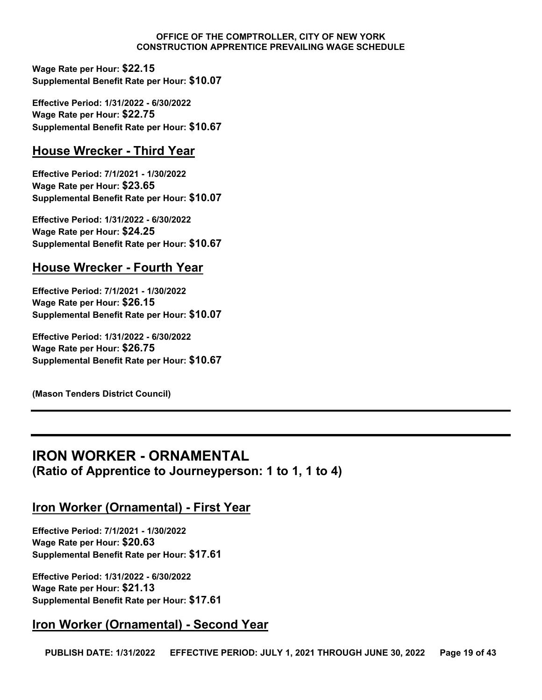**Wage Rate per Hour: \$22.15 Supplemental Benefit Rate per Hour: \$10.07**

**Effective Period: 1/31/2022 - 6/30/2022 Wage Rate per Hour: \$22.75 Supplemental Benefit Rate per Hour: \$10.67**

# **House Wrecker - Third Year**

**Effective Period: 7/1/2021 - 1/30/2022 Wage Rate per Hour: \$23.65 Supplemental Benefit Rate per Hour: \$10.07**

**Effective Period: 1/31/2022 - 6/30/2022 Wage Rate per Hour: \$24.25 Supplemental Benefit Rate per Hour: \$10.67**

# **House Wrecker - Fourth Year**

**Effective Period: 7/1/2021 - 1/30/2022 Wage Rate per Hour: \$26.15 Supplemental Benefit Rate per Hour: \$10.07**

**Effective Period: 1/31/2022 - 6/30/2022 Wage Rate per Hour: \$26.75 Supplemental Benefit Rate per Hour: \$10.67**

**(Mason Tenders District Council)**

# <span id="page-18-0"></span>**IRON WORKER - ORNAMENTAL (Ratio of Apprentice to Journeyperson: 1 to 1, 1 to 4)**

# **Iron Worker (Ornamental) - First Year**

**Effective Period: 7/1/2021 - 1/30/2022 Wage Rate per Hour: \$20.63 Supplemental Benefit Rate per Hour: \$17.61**

**Effective Period: 1/31/2022 - 6/30/2022 Wage Rate per Hour: \$21.13 Supplemental Benefit Rate per Hour: \$17.61**

# **Iron Worker (Ornamental) - Second Year**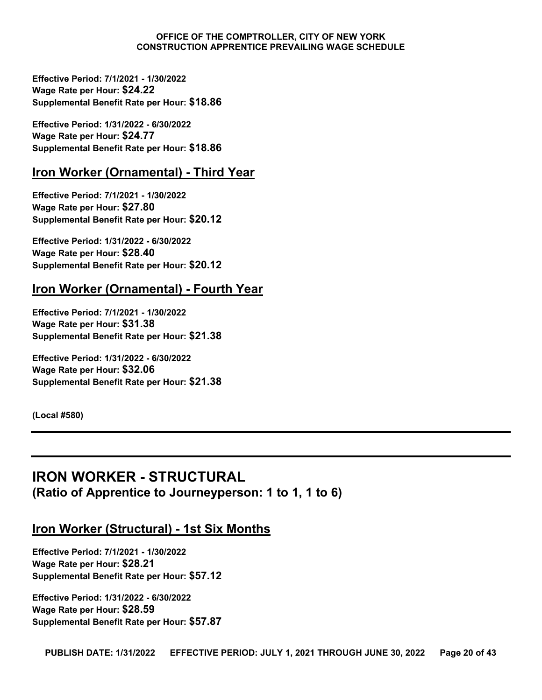**Effective Period: 7/1/2021 - 1/30/2022 Wage Rate per Hour: \$24.22 Supplemental Benefit Rate per Hour: \$18.86**

**Effective Period: 1/31/2022 - 6/30/2022 Wage Rate per Hour: \$24.77 Supplemental Benefit Rate per Hour: \$18.86**

#### **Iron Worker (Ornamental) - Third Year**

**Effective Period: 7/1/2021 - 1/30/2022 Wage Rate per Hour: \$27.80 Supplemental Benefit Rate per Hour: \$20.12**

**Effective Period: 1/31/2022 - 6/30/2022 Wage Rate per Hour: \$28.40 Supplemental Benefit Rate per Hour: \$20.12**

#### **Iron Worker (Ornamental) - Fourth Year**

**Effective Period: 7/1/2021 - 1/30/2022 Wage Rate per Hour: \$31.38 Supplemental Benefit Rate per Hour: \$21.38**

**Effective Period: 1/31/2022 - 6/30/2022 Wage Rate per Hour: \$32.06 Supplemental Benefit Rate per Hour: \$21.38**

**(Local #580)**

# <span id="page-19-0"></span>**IRON WORKER - STRUCTURAL (Ratio of Apprentice to Journeyperson: 1 to 1, 1 to 6)**

# **Iron Worker (Structural) - 1st Six Months**

**Effective Period: 7/1/2021 - 1/30/2022 Wage Rate per Hour: \$28.21 Supplemental Benefit Rate per Hour: \$57.12**

**Effective Period: 1/31/2022 - 6/30/2022 Wage Rate per Hour: \$28.59 Supplemental Benefit Rate per Hour: \$57.87**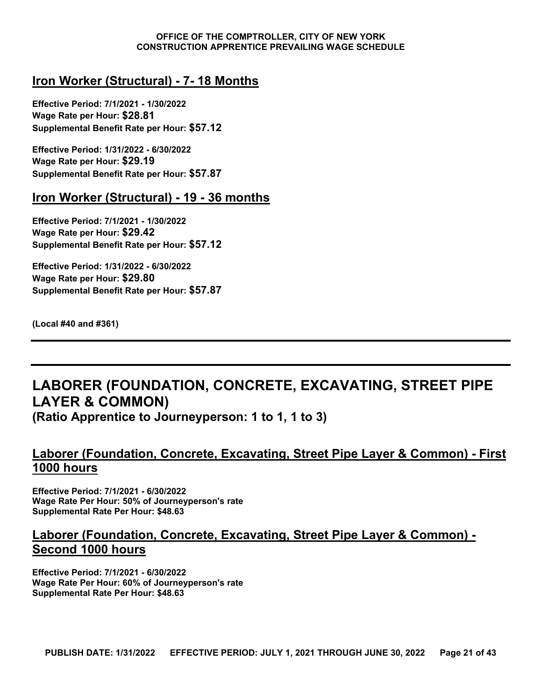# **Iron Worker (Structural) - 7- 18 Months**

**Effective Period: 7/1/2021 - 1/30/2022 Wage Rate per Hour: \$28.81 Supplemental Benefit Rate per Hour: \$57.12**

**Effective Period: 1/31/2022 - 6/30/2022 Wage Rate per Hour: \$29.19 Supplemental Benefit Rate per Hour: \$57.87**

#### **Iron Worker (Structural) - 19 - 36 months**

**Effective Period: 7/1/2021 - 1/30/2022 Wage Rate per Hour: \$29.42 Supplemental Benefit Rate per Hour: \$57.12**

**Effective Period: 1/31/2022 - 6/30/2022 Wage Rate per Hour: \$29.80 Supplemental Benefit Rate per Hour: \$57.87**

**(Local #40 and #361)**

# <span id="page-20-0"></span>**LABORER (FOUNDATION, CONCRETE, EXCAVATING, STREET PIPE LAYER & COMMON)**

**(Ratio Apprentice to Journeyperson: 1 to 1, 1 to 3)**

# **Laborer (Foundation, Concrete, Excavating, Street Pipe Layer & Common) - First 1000 hours**

**Effective Period: 7/1/2021 - 6/30/2022 Wage Rate Per Hour: 50% of Journeyperson's rate Supplemental Rate Per Hour: \$48.63**

# **Laborer (Foundation, Concrete, Excavating, Street Pipe Layer & Common) - Second 1000 hours**

**Effective Period: 7/1/2021 - 6/30/2022 Wage Rate Per Hour: 60% of Journeyperson's rate Supplemental Rate Per Hour: \$48.63**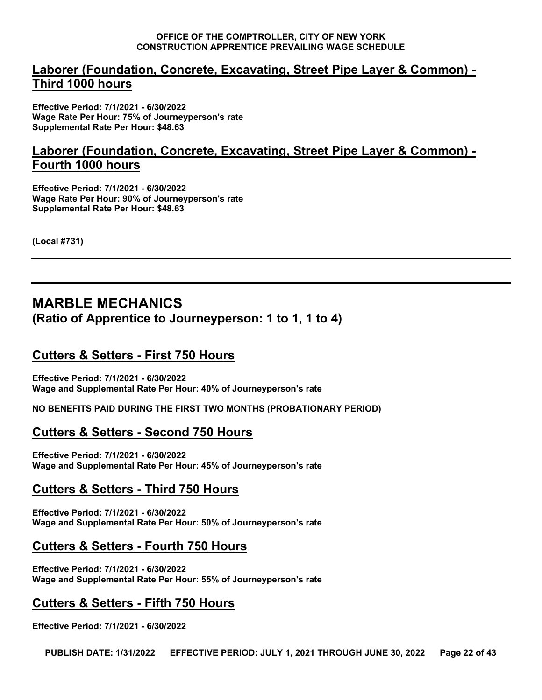# **Laborer (Foundation, Concrete, Excavating, Street Pipe Layer & Common) - Third 1000 hours**

**Effective Period: 7/1/2021 - 6/30/2022 Wage Rate Per Hour: 75% of Journeyperson's rate Supplemental Rate Per Hour: \$48.63**

# **Laborer (Foundation, Concrete, Excavating, Street Pipe Layer & Common) - Fourth 1000 hours**

**Effective Period: 7/1/2021 - 6/30/2022 Wage Rate Per Hour: 90% of Journeyperson's rate Supplemental Rate Per Hour: \$48.63**

**(Local #731)**

# <span id="page-21-0"></span>**MARBLE MECHANICS (Ratio of Apprentice to Journeyperson: 1 to 1, 1 to 4)**

# **Cutters & Setters - First 750 Hours**

**Effective Period: 7/1/2021 - 6/30/2022 Wage and Supplemental Rate Per Hour: 40% of Journeyperson's rate**

**NO BENEFITS PAID DURING THE FIRST TWO MONTHS (PROBATIONARY PERIOD)**

# **Cutters & Setters - Second 750 Hours**

**Effective Period: 7/1/2021 - 6/30/2022 Wage and Supplemental Rate Per Hour: 45% of Journeyperson's rate**

# **Cutters & Setters - Third 750 Hours**

**Effective Period: 7/1/2021 - 6/30/2022 Wage and Supplemental Rate Per Hour: 50% of Journeyperson's rate**

# **Cutters & Setters - Fourth 750 Hours**

**Effective Period: 7/1/2021 - 6/30/2022 Wage and Supplemental Rate Per Hour: 55% of Journeyperson's rate**

# **Cutters & Setters - Fifth 750 Hours**

**Effective Period: 7/1/2021 - 6/30/2022**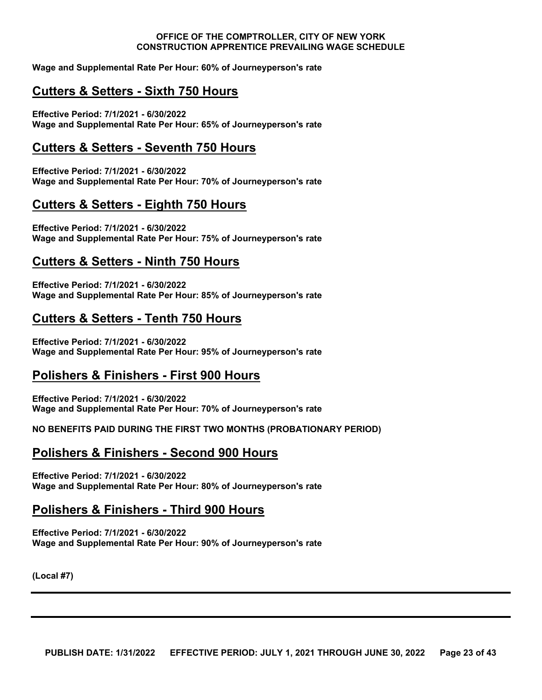**Wage and Supplemental Rate Per Hour: 60% of Journeyperson's rate**

# **Cutters & Setters - Sixth 750 Hours**

**Effective Period: 7/1/2021 - 6/30/2022 Wage and Supplemental Rate Per Hour: 65% of Journeyperson's rate**

#### **Cutters & Setters - Seventh 750 Hours**

**Effective Period: 7/1/2021 - 6/30/2022 Wage and Supplemental Rate Per Hour: 70% of Journeyperson's rate**

#### **Cutters & Setters - Eighth 750 Hours**

**Effective Period: 7/1/2021 - 6/30/2022 Wage and Supplemental Rate Per Hour: 75% of Journeyperson's rate**

#### **Cutters & Setters - Ninth 750 Hours**

**Effective Period: 7/1/2021 - 6/30/2022 Wage and Supplemental Rate Per Hour: 85% of Journeyperson's rate**

#### **Cutters & Setters - Tenth 750 Hours**

**Effective Period: 7/1/2021 - 6/30/2022 Wage and Supplemental Rate Per Hour: 95% of Journeyperson's rate**

# **Polishers & Finishers - First 900 Hours**

**Effective Period: 7/1/2021 - 6/30/2022 Wage and Supplemental Rate Per Hour: 70% of Journeyperson's rate**

**NO BENEFITS PAID DURING THE FIRST TWO MONTHS (PROBATIONARY PERIOD)**

#### **Polishers & Finishers - Second 900 Hours**

**Effective Period: 7/1/2021 - 6/30/2022 Wage and Supplemental Rate Per Hour: 80% of Journeyperson's rate**

#### **Polishers & Finishers - Third 900 Hours**

**Effective Period: 7/1/2021 - 6/30/2022 Wage and Supplemental Rate Per Hour: 90% of Journeyperson's rate**

**(Local #7)**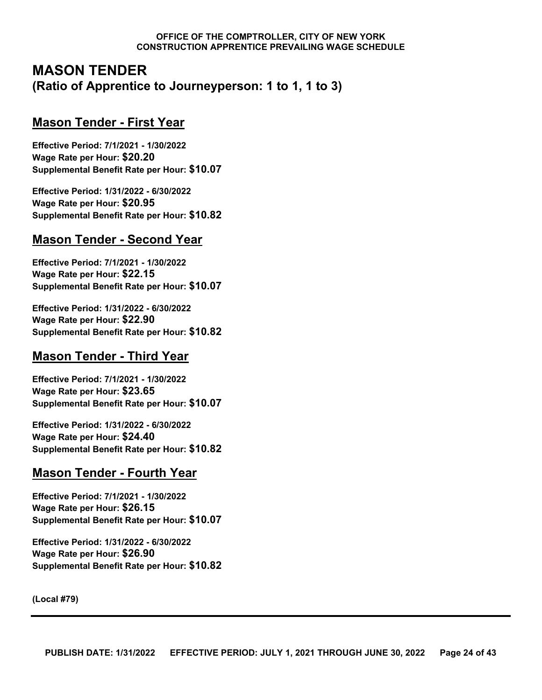# <span id="page-23-0"></span>**MASON TENDER (Ratio of Apprentice to Journeyperson: 1 to 1, 1 to 3)**

# **Mason Tender - First Year**

**Effective Period: 7/1/2021 - 1/30/2022 Wage Rate per Hour: \$20.20 Supplemental Benefit Rate per Hour: \$10.07**

**Effective Period: 1/31/2022 - 6/30/2022 Wage Rate per Hour: \$20.95 Supplemental Benefit Rate per Hour: \$10.82**

# **Mason Tender - Second Year**

**Effective Period: 7/1/2021 - 1/30/2022 Wage Rate per Hour: \$22.15 Supplemental Benefit Rate per Hour: \$10.07**

**Effective Period: 1/31/2022 - 6/30/2022 Wage Rate per Hour: \$22.90 Supplemental Benefit Rate per Hour: \$10.82**

# **Mason Tender - Third Year**

**Effective Period: 7/1/2021 - 1/30/2022 Wage Rate per Hour: \$23.65 Supplemental Benefit Rate per Hour: \$10.07**

**Effective Period: 1/31/2022 - 6/30/2022 Wage Rate per Hour: \$24.40 Supplemental Benefit Rate per Hour: \$10.82**

# **Mason Tender - Fourth Year**

**Effective Period: 7/1/2021 - 1/30/2022 Wage Rate per Hour: \$26.15 Supplemental Benefit Rate per Hour: \$10.07**

**Effective Period: 1/31/2022 - 6/30/2022 Wage Rate per Hour: \$26.90 Supplemental Benefit Rate per Hour: \$10.82**

**(Local #79)**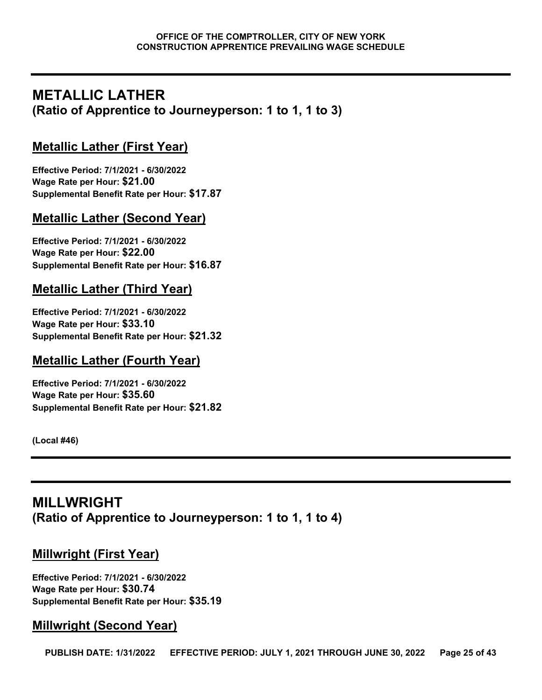# <span id="page-24-0"></span>**METALLIC LATHER (Ratio of Apprentice to Journeyperson: 1 to 1, 1 to 3)**

# **Metallic Lather (First Year)**

**Effective Period: 7/1/2021 - 6/30/2022 Wage Rate per Hour: \$21.00 Supplemental Benefit Rate per Hour: \$17.87**

# **Metallic Lather (Second Year)**

**Effective Period: 7/1/2021 - 6/30/2022 Wage Rate per Hour: \$22.00 Supplemental Benefit Rate per Hour: \$16.87**

# **Metallic Lather (Third Year)**

**Effective Period: 7/1/2021 - 6/30/2022 Wage Rate per Hour: \$33.10 Supplemental Benefit Rate per Hour: \$21.32**

# **Metallic Lather (Fourth Year)**

**Effective Period: 7/1/2021 - 6/30/2022 Wage Rate per Hour: \$35.60 Supplemental Benefit Rate per Hour: \$21.82**

**(Local #46)**

# <span id="page-24-1"></span>**MILLWRIGHT (Ratio of Apprentice to Journeyperson: 1 to 1, 1 to 4)**

# **Millwright (First Year)**

**Effective Period: 7/1/2021 - 6/30/2022 Wage Rate per Hour: \$30.74 Supplemental Benefit Rate per Hour: \$35.19**

# **Millwright (Second Year)**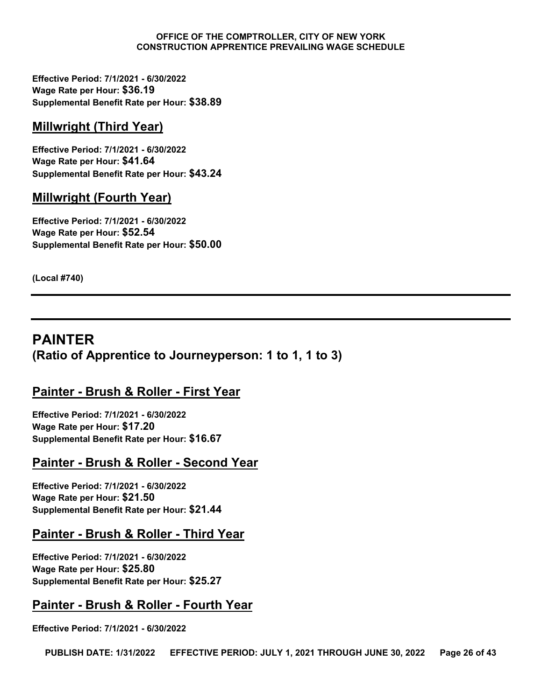**Effective Period: 7/1/2021 - 6/30/2022 Wage Rate per Hour: \$36.19 Supplemental Benefit Rate per Hour: \$38.89**

# **Millwright (Third Year)**

**Effective Period: 7/1/2021 - 6/30/2022 Wage Rate per Hour: \$41.64 Supplemental Benefit Rate per Hour: \$43.24**

# **Millwright (Fourth Year)**

**Effective Period: 7/1/2021 - 6/30/2022 Wage Rate per Hour: \$52.54 Supplemental Benefit Rate per Hour: \$50.00**

**(Local #740)**

# <span id="page-25-0"></span>**PAINTER (Ratio of Apprentice to Journeyperson: 1 to 1, 1 to 3)**

# **Painter - Brush & Roller - First Year**

**Effective Period: 7/1/2021 - 6/30/2022 Wage Rate per Hour: \$17.20 Supplemental Benefit Rate per Hour: \$16.67**

# **Painter - Brush & Roller - Second Year**

**Effective Period: 7/1/2021 - 6/30/2022 Wage Rate per Hour: \$21.50 Supplemental Benefit Rate per Hour: \$21.44**

# **Painter - Brush & Roller - Third Year**

**Effective Period: 7/1/2021 - 6/30/2022 Wage Rate per Hour: \$25.80 Supplemental Benefit Rate per Hour: \$25.27**

# **Painter - Brush & Roller - Fourth Year**

**Effective Period: 7/1/2021 - 6/30/2022**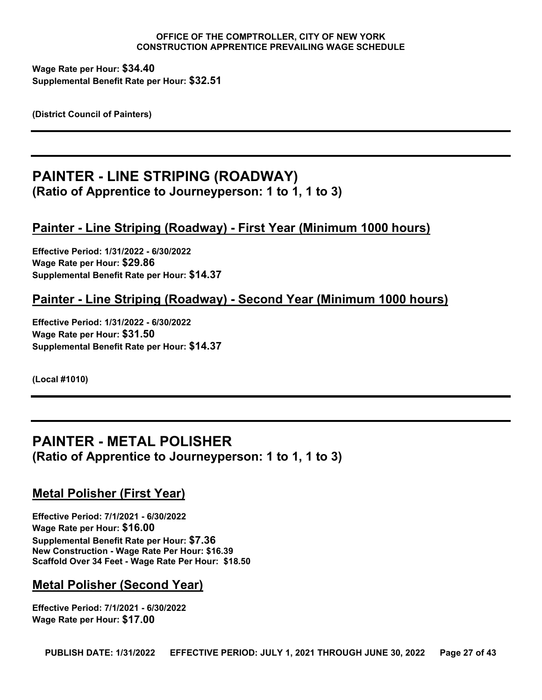**Wage Rate per Hour: \$34.40 Supplemental Benefit Rate per Hour: \$32.51**

**(District Council of Painters)**

# <span id="page-26-0"></span>**PAINTER - LINE STRIPING (ROADWAY) (Ratio of Apprentice to Journeyperson: 1 to 1, 1 to 3)**

# **Painter - Line Striping (Roadway) - First Year (Minimum 1000 hours)**

**Effective Period: 1/31/2022 - 6/30/2022 Wage Rate per Hour: \$29.86 Supplemental Benefit Rate per Hour: \$14.37**

#### **Painter - Line Striping (Roadway) - Second Year (Minimum 1000 hours)**

**Effective Period: 1/31/2022 - 6/30/2022 Wage Rate per Hour: \$31.50 Supplemental Benefit Rate per Hour: \$14.37**

**(Local #1010)**

# <span id="page-26-1"></span>**PAINTER - METAL POLISHER (Ratio of Apprentice to Journeyperson: 1 to 1, 1 to 3)**

# **Metal Polisher (First Year)**

**Effective Period: 7/1/2021 - 6/30/2022 Wage Rate per Hour: \$16.00 Supplemental Benefit Rate per Hour: \$7.36 New Construction - Wage Rate Per Hour: \$16.39 Scaffold Over 34 Feet - Wage Rate Per Hour: \$18.50**

#### **Metal Polisher (Second Year)**

**Effective Period: 7/1/2021 - 6/30/2022 Wage Rate per Hour: \$17.00**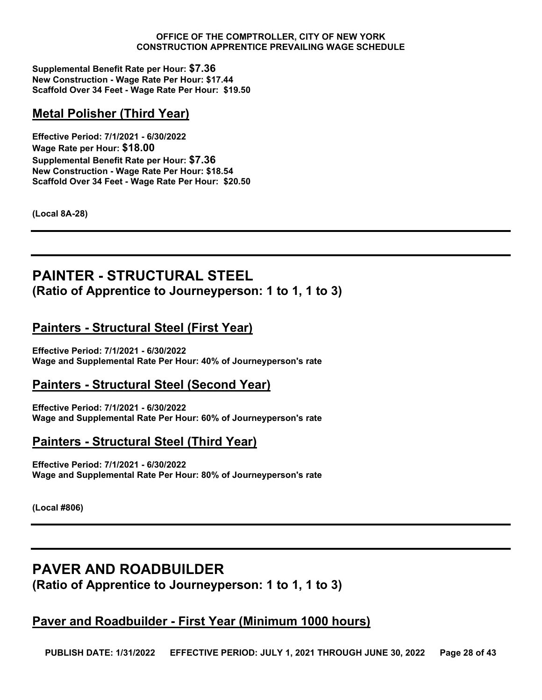**Supplemental Benefit Rate per Hour: \$7.36 New Construction - Wage Rate Per Hour: \$17.44 Scaffold Over 34 Feet - Wage Rate Per Hour: \$19.50**

# **Metal Polisher (Third Year)**

**Effective Period: 7/1/2021 - 6/30/2022 Wage Rate per Hour: \$18.00 Supplemental Benefit Rate per Hour: \$7.36 New Construction - Wage Rate Per Hour: \$18.54 Scaffold Over 34 Feet - Wage Rate Per Hour: \$20.50**

**(Local 8A-28)**

# <span id="page-27-0"></span>**PAINTER - STRUCTURAL STEEL (Ratio of Apprentice to Journeyperson: 1 to 1, 1 to 3)**

# **Painters - Structural Steel (First Year)**

**Effective Period: 7/1/2021 - 6/30/2022 Wage and Supplemental Rate Per Hour: 40% of Journeyperson's rate**

# **Painters - Structural Steel (Second Year)**

**Effective Period: 7/1/2021 - 6/30/2022 Wage and Supplemental Rate Per Hour: 60% of Journeyperson's rate**

# **Painters - Structural Steel (Third Year)**

**Effective Period: 7/1/2021 - 6/30/2022 Wage and Supplemental Rate Per Hour: 80% of Journeyperson's rate**

**(Local #806)**

# <span id="page-27-1"></span>**PAVER AND ROADBUILDER (Ratio of Apprentice to Journeyperson: 1 to 1, 1 to 3)**

# **Paver and Roadbuilder - First Year (Minimum 1000 hours)**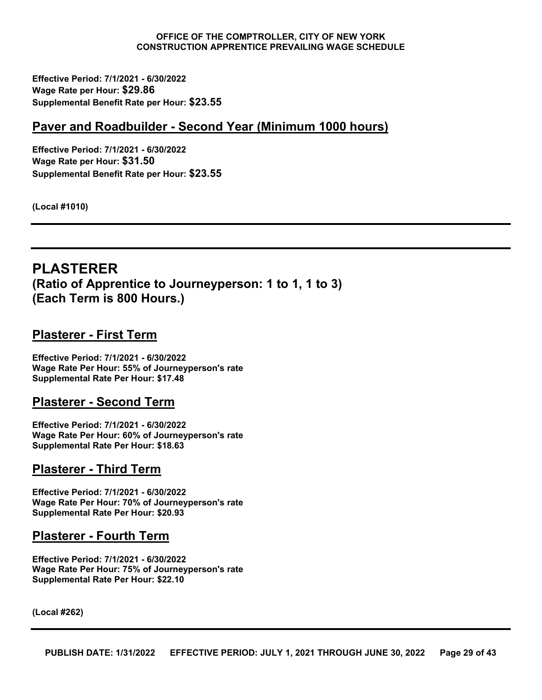**Effective Period: 7/1/2021 - 6/30/2022 Wage Rate per Hour: \$29.86 Supplemental Benefit Rate per Hour: \$23.55**

#### **Paver and Roadbuilder - Second Year (Minimum 1000 hours)**

**Effective Period: 7/1/2021 - 6/30/2022 Wage Rate per Hour: \$31.50 Supplemental Benefit Rate per Hour: \$23.55**

**(Local #1010)**

# <span id="page-28-0"></span>**PLASTERER (Ratio of Apprentice to Journeyperson: 1 to 1, 1 to 3) (Each Term is 800 Hours.)**

#### **Plasterer - First Term**

**Effective Period: 7/1/2021 - 6/30/2022 Wage Rate Per Hour: 55% of Journeyperson's rate Supplemental Rate Per Hour: \$17.48**

#### **Plasterer - Second Term**

**Effective Period: 7/1/2021 - 6/30/2022 Wage Rate Per Hour: 60% of Journeyperson's rate Supplemental Rate Per Hour: \$18.63**

#### **Plasterer - Third Term**

**Effective Period: 7/1/2021 - 6/30/2022 Wage Rate Per Hour: 70% of Journeyperson's rate Supplemental Rate Per Hour: \$20.93**

#### **Plasterer - Fourth Term**

**Effective Period: 7/1/2021 - 6/30/2022 Wage Rate Per Hour: 75% of Journeyperson's rate Supplemental Rate Per Hour: \$22.10**

**(Local #262)**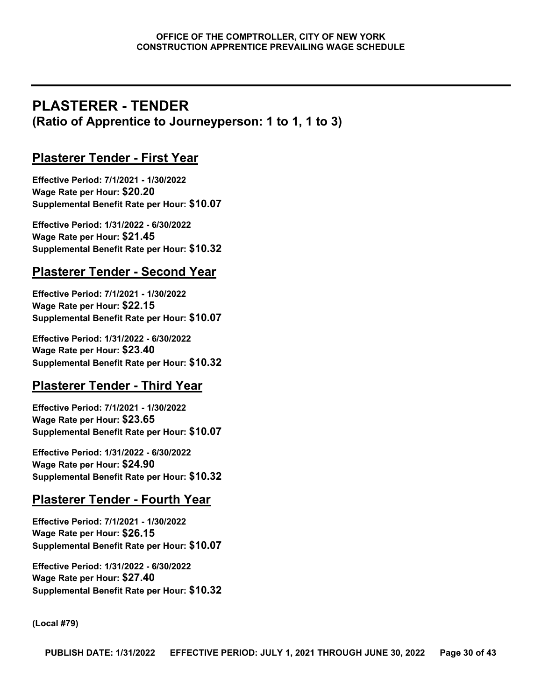# <span id="page-29-0"></span>**PLASTERER - TENDER (Ratio of Apprentice to Journeyperson: 1 to 1, 1 to 3)**

# **Plasterer Tender - First Year**

**Effective Period: 7/1/2021 - 1/30/2022 Wage Rate per Hour: \$20.20 Supplemental Benefit Rate per Hour: \$10.07**

**Effective Period: 1/31/2022 - 6/30/2022 Wage Rate per Hour: \$21.45 Supplemental Benefit Rate per Hour: \$10.32**

# **Plasterer Tender - Second Year**

**Effective Period: 7/1/2021 - 1/30/2022 Wage Rate per Hour: \$22.15 Supplemental Benefit Rate per Hour: \$10.07**

**Effective Period: 1/31/2022 - 6/30/2022 Wage Rate per Hour: \$23.40 Supplemental Benefit Rate per Hour: \$10.32**

# **Plasterer Tender - Third Year**

**Effective Period: 7/1/2021 - 1/30/2022 Wage Rate per Hour: \$23.65 Supplemental Benefit Rate per Hour: \$10.07**

**Effective Period: 1/31/2022 - 6/30/2022 Wage Rate per Hour: \$24.90 Supplemental Benefit Rate per Hour: \$10.32**

# **Plasterer Tender - Fourth Year**

**Effective Period: 7/1/2021 - 1/30/2022 Wage Rate per Hour: \$26.15 Supplemental Benefit Rate per Hour: \$10.07**

**Effective Period: 1/31/2022 - 6/30/2022 Wage Rate per Hour: \$27.40 Supplemental Benefit Rate per Hour: \$10.32**

**(Local #79)**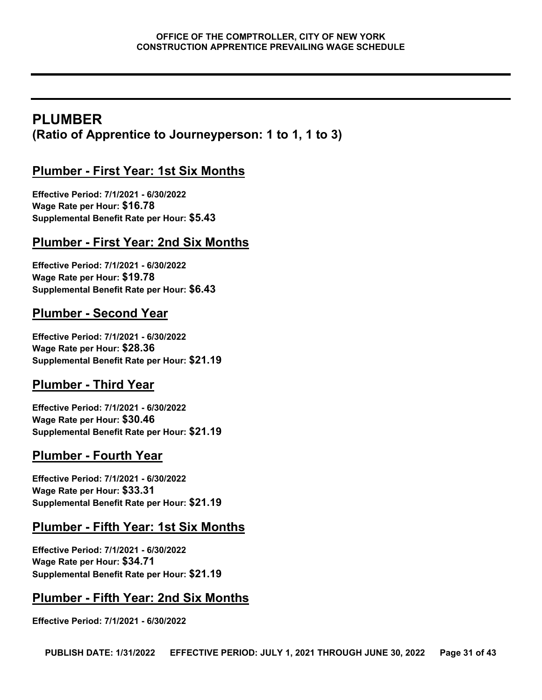# <span id="page-30-0"></span>**PLUMBER (Ratio of Apprentice to Journeyperson: 1 to 1, 1 to 3)**

# **Plumber - First Year: 1st Six Months**

**Effective Period: 7/1/2021 - 6/30/2022 Wage Rate per Hour: \$16.78 Supplemental Benefit Rate per Hour: \$5.43**

# **Plumber - First Year: 2nd Six Months**

**Effective Period: 7/1/2021 - 6/30/2022 Wage Rate per Hour: \$19.78 Supplemental Benefit Rate per Hour: \$6.43**

# **Plumber - Second Year**

**Effective Period: 7/1/2021 - 6/30/2022 Wage Rate per Hour: \$28.36 Supplemental Benefit Rate per Hour: \$21.19**

# **Plumber - Third Year**

**Effective Period: 7/1/2021 - 6/30/2022 Wage Rate per Hour: \$30.46 Supplemental Benefit Rate per Hour: \$21.19**

# **Plumber - Fourth Year**

**Effective Period: 7/1/2021 - 6/30/2022 Wage Rate per Hour: \$33.31 Supplemental Benefit Rate per Hour: \$21.19**

# **Plumber - Fifth Year: 1st Six Months**

**Effective Period: 7/1/2021 - 6/30/2022 Wage Rate per Hour: \$34.71 Supplemental Benefit Rate per Hour: \$21.19**

# **Plumber - Fifth Year: 2nd Six Months**

**Effective Period: 7/1/2021 - 6/30/2022**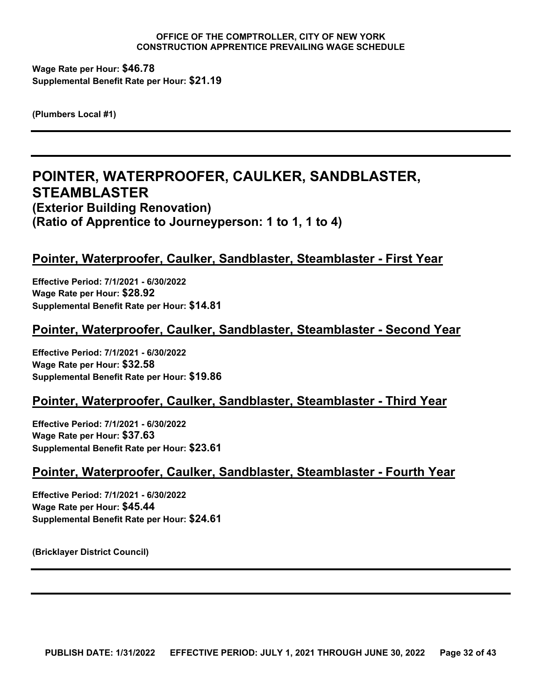**Wage Rate per Hour: \$46.78 Supplemental Benefit Rate per Hour: \$21.19**

**(Plumbers Local #1)**

# <span id="page-31-0"></span>**POINTER, WATERPROOFER, CAULKER, SANDBLASTER, STEAMBLASTER (Exterior Building Renovation) (Ratio of Apprentice to Journeyperson: 1 to 1, 1 to 4)**

# **Pointer, Waterproofer, Caulker, Sandblaster, Steamblaster - First Year**

**Effective Period: 7/1/2021 - 6/30/2022 Wage Rate per Hour: \$28.92 Supplemental Benefit Rate per Hour: \$14.81**

# **Pointer, Waterproofer, Caulker, Sandblaster, Steamblaster - Second Year**

**Effective Period: 7/1/2021 - 6/30/2022 Wage Rate per Hour: \$32.58 Supplemental Benefit Rate per Hour: \$19.86**

# **Pointer, Waterproofer, Caulker, Sandblaster, Steamblaster - Third Year**

**Effective Period: 7/1/2021 - 6/30/2022 Wage Rate per Hour: \$37.63 Supplemental Benefit Rate per Hour: \$23.61**

#### **Pointer, Waterproofer, Caulker, Sandblaster, Steamblaster - Fourth Year**

**Effective Period: 7/1/2021 - 6/30/2022 Wage Rate per Hour: \$45.44 Supplemental Benefit Rate per Hour: \$24.61**

**(Bricklayer District Council)**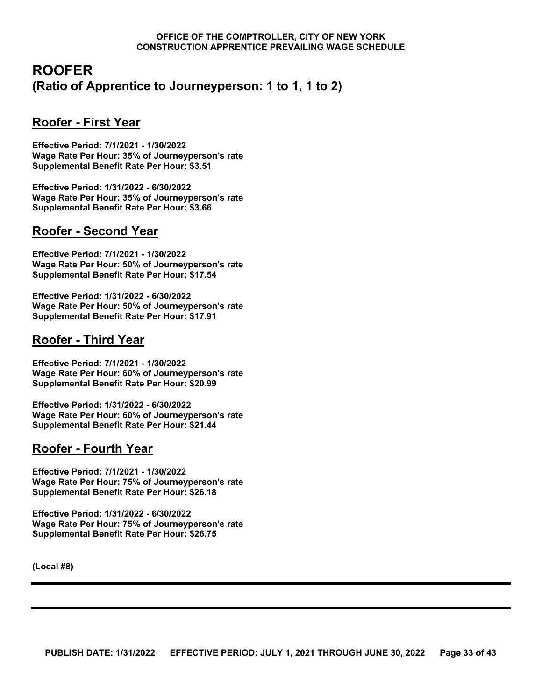# <span id="page-32-0"></span>**ROOFER (Ratio of Apprentice to Journeyperson: 1 to 1, 1 to 2)**

# **Roofer - First Year**

**Effective Period: 7/1/2021 - 1/30/2022 Wage Rate Per Hour: 35% of Journeyperson's rate Supplemental Benefit Rate Per Hour: \$3.51**

**Effective Period: 1/31/2022 - 6/30/2022 Wage Rate Per Hour: 35% of Journeyperson's rate Supplemental Benefit Rate Per Hour: \$3.66**

# **Roofer - Second Year**

**Effective Period: 7/1/2021 - 1/30/2022 Wage Rate Per Hour: 50% of Journeyperson's rate Supplemental Benefit Rate Per Hour: \$17.54**

**Effective Period: 1/31/2022 - 6/30/2022 Wage Rate Per Hour: 50% of Journeyperson's rate Supplemental Benefit Rate Per Hour: \$17.91**

# **Roofer - Third Year**

**Effective Period: 7/1/2021 - 1/30/2022 Wage Rate Per Hour: 60% of Journeyperson's rate Supplemental Benefit Rate Per Hour: \$20.99**

**Effective Period: 1/31/2022 - 6/30/2022 Wage Rate Per Hour: 60% of Journeyperson's rate Supplemental Benefit Rate Per Hour: \$21.44**

# **Roofer - Fourth Year**

**Effective Period: 7/1/2021 - 1/30/2022 Wage Rate Per Hour: 75% of Journeyperson's rate Supplemental Benefit Rate Per Hour: \$26.18**

**Effective Period: 1/31/2022 - 6/30/2022 Wage Rate Per Hour: 75% of Journeyperson's rate Supplemental Benefit Rate Per Hour: \$26.75**

**(Local #8)**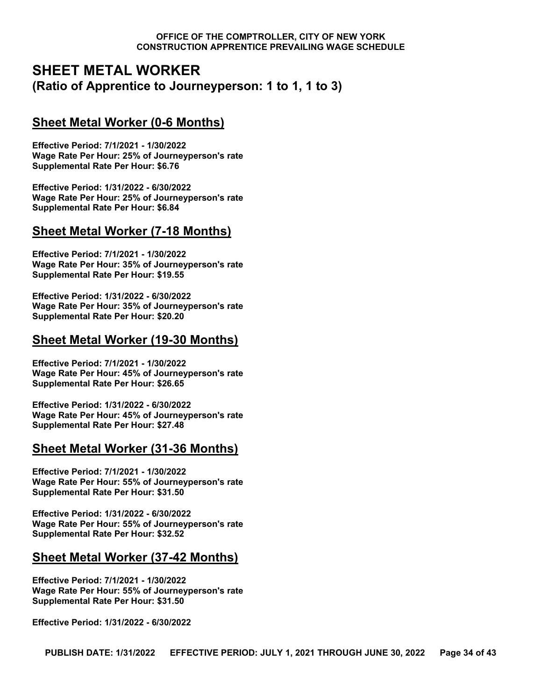# <span id="page-33-0"></span>**SHEET METAL WORKER (Ratio of Apprentice to Journeyperson: 1 to 1, 1 to 3)**

# **Sheet Metal Worker (0-6 Months)**

**Effective Period: 7/1/2021 - 1/30/2022 Wage Rate Per Hour: 25% of Journeyperson's rate Supplemental Rate Per Hour: \$6.76**

**Effective Period: 1/31/2022 - 6/30/2022 Wage Rate Per Hour: 25% of Journeyperson's rate Supplemental Rate Per Hour: \$6.84**

#### **Sheet Metal Worker (7-18 Months)**

**Effective Period: 7/1/2021 - 1/30/2022 Wage Rate Per Hour: 35% of Journeyperson's rate Supplemental Rate Per Hour: \$19.55**

**Effective Period: 1/31/2022 - 6/30/2022 Wage Rate Per Hour: 35% of Journeyperson's rate Supplemental Rate Per Hour: \$20.20**

# **Sheet Metal Worker (19-30 Months)**

**Effective Period: 7/1/2021 - 1/30/2022 Wage Rate Per Hour: 45% of Journeyperson's rate Supplemental Rate Per Hour: \$26.65**

**Effective Period: 1/31/2022 - 6/30/2022 Wage Rate Per Hour: 45% of Journeyperson's rate Supplemental Rate Per Hour: \$27.48**

# **Sheet Metal Worker (31-36 Months)**

**Effective Period: 7/1/2021 - 1/30/2022 Wage Rate Per Hour: 55% of Journeyperson's rate Supplemental Rate Per Hour: \$31.50**

**Effective Period: 1/31/2022 - 6/30/2022 Wage Rate Per Hour: 55% of Journeyperson's rate Supplemental Rate Per Hour: \$32.52**

# **Sheet Metal Worker (37-42 Months)**

**Effective Period: 7/1/2021 - 1/30/2022 Wage Rate Per Hour: 55% of Journeyperson's rate Supplemental Rate Per Hour: \$31.50**

**Effective Period: 1/31/2022 - 6/30/2022**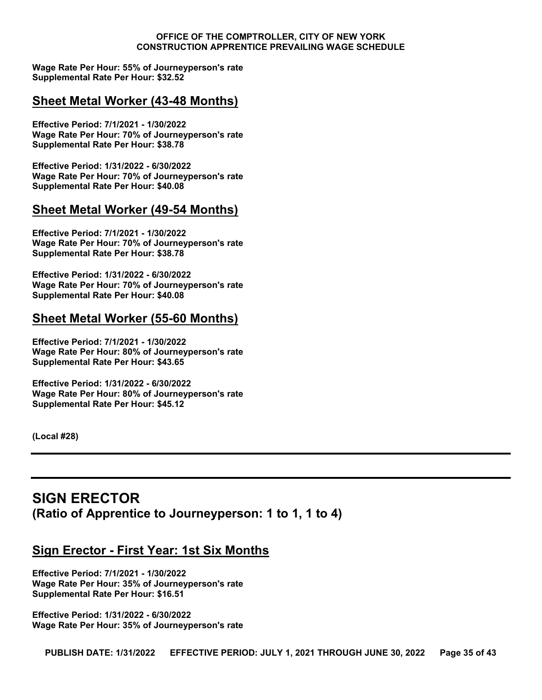**Wage Rate Per Hour: 55% of Journeyperson's rate Supplemental Rate Per Hour: \$32.52**

# **Sheet Metal Worker (43-48 Months)**

**Effective Period: 7/1/2021 - 1/30/2022 Wage Rate Per Hour: 70% of Journeyperson's rate Supplemental Rate Per Hour: \$38.78**

**Effective Period: 1/31/2022 - 6/30/2022 Wage Rate Per Hour: 70% of Journeyperson's rate Supplemental Rate Per Hour: \$40.08**

# **Sheet Metal Worker (49-54 Months)**

**Effective Period: 7/1/2021 - 1/30/2022 Wage Rate Per Hour: 70% of Journeyperson's rate Supplemental Rate Per Hour: \$38.78**

**Effective Period: 1/31/2022 - 6/30/2022 Wage Rate Per Hour: 70% of Journeyperson's rate Supplemental Rate Per Hour: \$40.08**

#### **Sheet Metal Worker (55-60 Months)**

**Effective Period: 7/1/2021 - 1/30/2022 Wage Rate Per Hour: 80% of Journeyperson's rate Supplemental Rate Per Hour: \$43.65**

**Effective Period: 1/31/2022 - 6/30/2022 Wage Rate Per Hour: 80% of Journeyperson's rate Supplemental Rate Per Hour: \$45.12**

**(Local #28)**

# <span id="page-34-0"></span>**SIGN ERECTOR (Ratio of Apprentice to Journeyperson: 1 to 1, 1 to 4)**

# **Sign Erector - First Year: 1st Six Months**

**Effective Period: 7/1/2021 - 1/30/2022 Wage Rate Per Hour: 35% of Journeyperson's rate Supplemental Rate Per Hour: \$16.51**

**Effective Period: 1/31/2022 - 6/30/2022 Wage Rate Per Hour: 35% of Journeyperson's rate**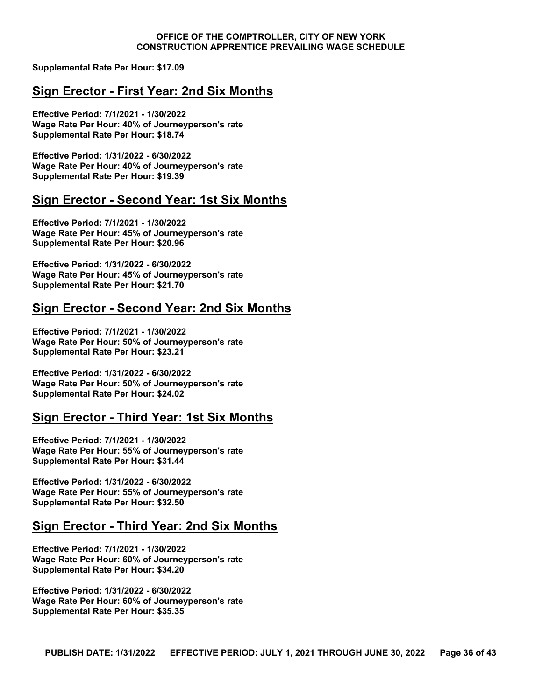**Supplemental Rate Per Hour: \$17.09**

#### **Sign Erector - First Year: 2nd Six Months**

**Effective Period: 7/1/2021 - 1/30/2022 Wage Rate Per Hour: 40% of Journeyperson's rate Supplemental Rate Per Hour: \$18.74**

**Effective Period: 1/31/2022 - 6/30/2022 Wage Rate Per Hour: 40% of Journeyperson's rate Supplemental Rate Per Hour: \$19.39**

#### **Sign Erector - Second Year: 1st Six Months**

**Effective Period: 7/1/2021 - 1/30/2022 Wage Rate Per Hour: 45% of Journeyperson's rate Supplemental Rate Per Hour: \$20.96**

**Effective Period: 1/31/2022 - 6/30/2022 Wage Rate Per Hour: 45% of Journeyperson's rate Supplemental Rate Per Hour: \$21.70**

# **Sign Erector - Second Year: 2nd Six Months**

**Effective Period: 7/1/2021 - 1/30/2022 Wage Rate Per Hour: 50% of Journeyperson's rate Supplemental Rate Per Hour: \$23.21**

**Effective Period: 1/31/2022 - 6/30/2022 Wage Rate Per Hour: 50% of Journeyperson's rate Supplemental Rate Per Hour: \$24.02**

#### **Sign Erector - Third Year: 1st Six Months**

**Effective Period: 7/1/2021 - 1/30/2022 Wage Rate Per Hour: 55% of Journeyperson's rate Supplemental Rate Per Hour: \$31.44**

**Effective Period: 1/31/2022 - 6/30/2022 Wage Rate Per Hour: 55% of Journeyperson's rate Supplemental Rate Per Hour: \$32.50**

#### **Sign Erector - Third Year: 2nd Six Months**

**Effective Period: 7/1/2021 - 1/30/2022 Wage Rate Per Hour: 60% of Journeyperson's rate Supplemental Rate Per Hour: \$34.20**

**Effective Period: 1/31/2022 - 6/30/2022 Wage Rate Per Hour: 60% of Journeyperson's rate Supplemental Rate Per Hour: \$35.35**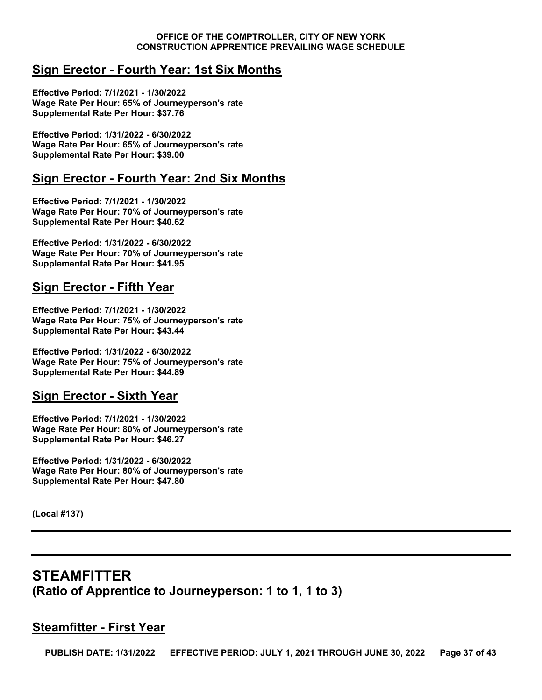# **Sign Erector - Fourth Year: 1st Six Months**

**Effective Period: 7/1/2021 - 1/30/2022 Wage Rate Per Hour: 65% of Journeyperson's rate Supplemental Rate Per Hour: \$37.76**

**Effective Period: 1/31/2022 - 6/30/2022 Wage Rate Per Hour: 65% of Journeyperson's rate Supplemental Rate Per Hour: \$39.00**

# **Sign Erector - Fourth Year: 2nd Six Months**

**Effective Period: 7/1/2021 - 1/30/2022 Wage Rate Per Hour: 70% of Journeyperson's rate Supplemental Rate Per Hour: \$40.62**

**Effective Period: 1/31/2022 - 6/30/2022 Wage Rate Per Hour: 70% of Journeyperson's rate Supplemental Rate Per Hour: \$41.95**

# **Sign Erector - Fifth Year**

**Effective Period: 7/1/2021 - 1/30/2022 Wage Rate Per Hour: 75% of Journeyperson's rate Supplemental Rate Per Hour: \$43.44**

**Effective Period: 1/31/2022 - 6/30/2022 Wage Rate Per Hour: 75% of Journeyperson's rate Supplemental Rate Per Hour: \$44.89**

# **Sign Erector - Sixth Year**

**Effective Period: 7/1/2021 - 1/30/2022 Wage Rate Per Hour: 80% of Journeyperson's rate Supplemental Rate Per Hour: \$46.27**

**Effective Period: 1/31/2022 - 6/30/2022 Wage Rate Per Hour: 80% of Journeyperson's rate Supplemental Rate Per Hour: \$47.80**

**(Local #137)**

# <span id="page-36-0"></span>**STEAMFITTER (Ratio of Apprentice to Journeyperson: 1 to 1, 1 to 3)**

# **Steamfitter - First Year**

**PUBLISH DATE: 1/31/2022 EFFECTIVE PERIOD: JULY 1, 2021 THROUGH JUNE 30, 2022 Page 37 of 43**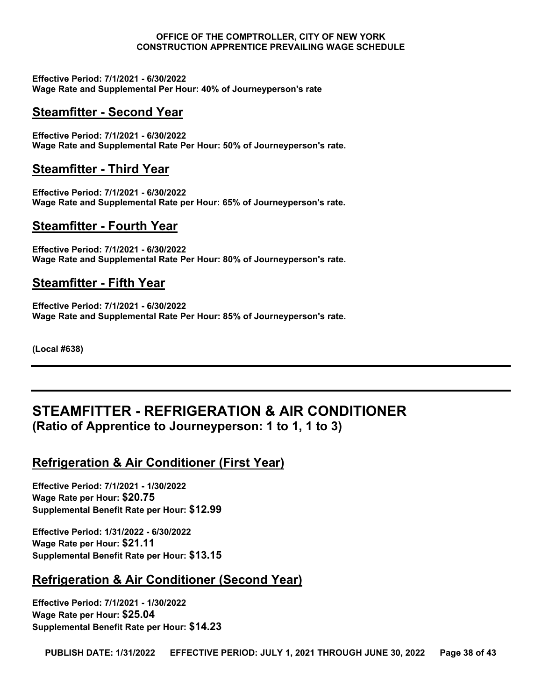**Effective Period: 7/1/2021 - 6/30/2022 Wage Rate and Supplemental Per Hour: 40% of Journeyperson's rate**

# **Steamfitter - Second Year**

**Effective Period: 7/1/2021 - 6/30/2022 Wage Rate and Supplemental Rate Per Hour: 50% of Journeyperson's rate.**

# **Steamfitter - Third Year**

**Effective Period: 7/1/2021 - 6/30/2022 Wage Rate and Supplemental Rate per Hour: 65% of Journeyperson's rate.**

#### **Steamfitter - Fourth Year**

**Effective Period: 7/1/2021 - 6/30/2022 Wage Rate and Supplemental Rate Per Hour: 80% of Journeyperson's rate.**

#### **Steamfitter - Fifth Year**

**Effective Period: 7/1/2021 - 6/30/2022 Wage Rate and Supplemental Rate Per Hour: 85% of Journeyperson's rate.**

**(Local #638)**

# <span id="page-37-0"></span>**STEAMFITTER - REFRIGERATION & AIR CONDITIONER (Ratio of Apprentice to Journeyperson: 1 to 1, 1 to 3)**

# **Refrigeration & Air Conditioner (First Year)**

**Effective Period: 7/1/2021 - 1/30/2022 Wage Rate per Hour: \$20.75 Supplemental Benefit Rate per Hour: \$12.99**

**Effective Period: 1/31/2022 - 6/30/2022 Wage Rate per Hour: \$21.11 Supplemental Benefit Rate per Hour: \$13.15**

# **Refrigeration & Air Conditioner (Second Year)**

**Effective Period: 7/1/2021 - 1/30/2022 Wage Rate per Hour: \$25.04 Supplemental Benefit Rate per Hour: \$14.23**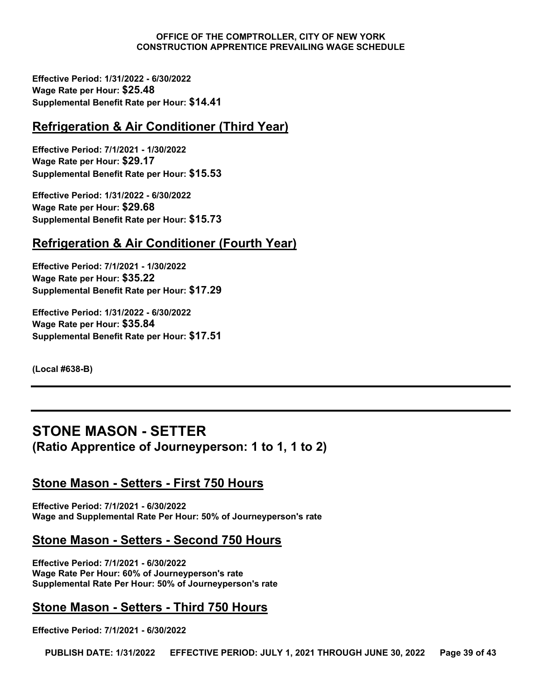**Effective Period: 1/31/2022 - 6/30/2022 Wage Rate per Hour: \$25.48 Supplemental Benefit Rate per Hour: \$14.41**

# **Refrigeration & Air Conditioner (Third Year)**

**Effective Period: 7/1/2021 - 1/30/2022 Wage Rate per Hour: \$29.17 Supplemental Benefit Rate per Hour: \$15.53**

**Effective Period: 1/31/2022 - 6/30/2022 Wage Rate per Hour: \$29.68 Supplemental Benefit Rate per Hour: \$15.73**

# **Refrigeration & Air Conditioner (Fourth Year)**

**Effective Period: 7/1/2021 - 1/30/2022 Wage Rate per Hour: \$35.22 Supplemental Benefit Rate per Hour: \$17.29**

**Effective Period: 1/31/2022 - 6/30/2022 Wage Rate per Hour: \$35.84 Supplemental Benefit Rate per Hour: \$17.51**

**(Local #638-B)**

# <span id="page-38-0"></span>**STONE MASON - SETTER (Ratio Apprentice of Journeyperson: 1 to 1, 1 to 2)**

# **Stone Mason - Setters - First 750 Hours**

**Effective Period: 7/1/2021 - 6/30/2022 Wage and Supplemental Rate Per Hour: 50% of Journeyperson's rate**

#### **Stone Mason - Setters - Second 750 Hours**

**Effective Period: 7/1/2021 - 6/30/2022 Wage Rate Per Hour: 60% of Journeyperson's rate Supplemental Rate Per Hour: 50% of Journeyperson's rate**

# **Stone Mason - Setters - Third 750 Hours**

**Effective Period: 7/1/2021 - 6/30/2022**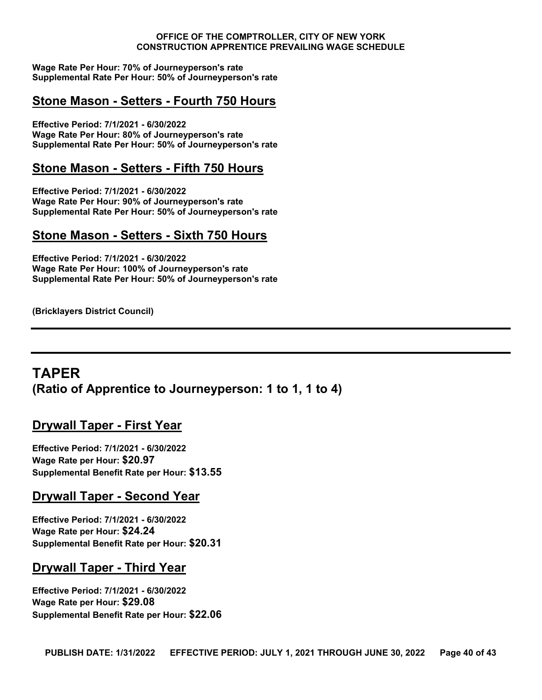**Wage Rate Per Hour: 70% of Journeyperson's rate Supplemental Rate Per Hour: 50% of Journeyperson's rate**

# **Stone Mason - Setters - Fourth 750 Hours**

**Effective Period: 7/1/2021 - 6/30/2022 Wage Rate Per Hour: 80% of Journeyperson's rate Supplemental Rate Per Hour: 50% of Journeyperson's rate**

#### **Stone Mason - Setters - Fifth 750 Hours**

**Effective Period: 7/1/2021 - 6/30/2022 Wage Rate Per Hour: 90% of Journeyperson's rate Supplemental Rate Per Hour: 50% of Journeyperson's rate**

#### **Stone Mason - Setters - Sixth 750 Hours**

**Effective Period: 7/1/2021 - 6/30/2022 Wage Rate Per Hour: 100% of Journeyperson's rate Supplemental Rate Per Hour: 50% of Journeyperson's rate**

**(Bricklayers District Council)**

# <span id="page-39-0"></span>**TAPER (Ratio of Apprentice to Journeyperson: 1 to 1, 1 to 4)**

#### **Drywall Taper - First Year**

**Effective Period: 7/1/2021 - 6/30/2022 Wage Rate per Hour: \$20.97 Supplemental Benefit Rate per Hour: \$13.55**

#### **Drywall Taper - Second Year**

**Effective Period: 7/1/2021 - 6/30/2022 Wage Rate per Hour: \$24.24 Supplemental Benefit Rate per Hour: \$20.31**

# **Drywall Taper - Third Year**

**Effective Period: 7/1/2021 - 6/30/2022 Wage Rate per Hour: \$29.08 Supplemental Benefit Rate per Hour: \$22.06**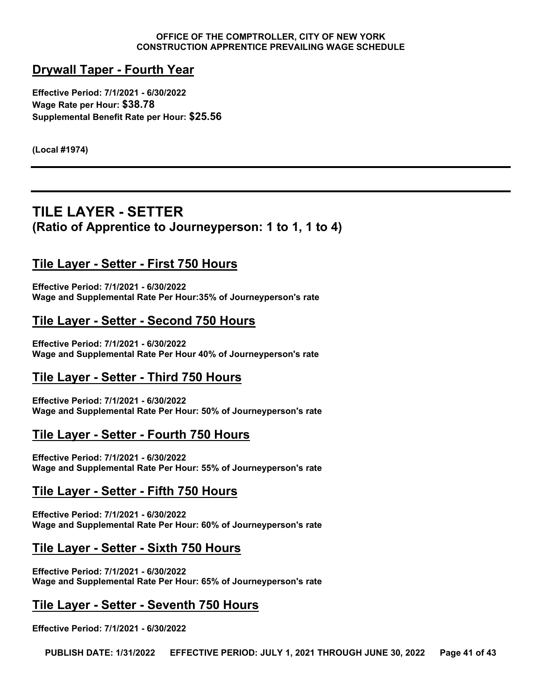# **Drywall Taper - Fourth Year**

**Effective Period: 7/1/2021 - 6/30/2022 Wage Rate per Hour: \$38.78 Supplemental Benefit Rate per Hour: \$25.56**

**(Local #1974)**

# <span id="page-40-0"></span>**TILE LAYER - SETTER (Ratio of Apprentice to Journeyperson: 1 to 1, 1 to 4)**

# **Tile Layer - Setter - First 750 Hours**

**Effective Period: 7/1/2021 - 6/30/2022 Wage and Supplemental Rate Per Hour:35% of Journeyperson's rate**

# **Tile Layer - Setter - Second 750 Hours**

**Effective Period: 7/1/2021 - 6/30/2022 Wage and Supplemental Rate Per Hour 40% of Journeyperson's rate**

# **Tile Layer - Setter - Third 750 Hours**

**Effective Period: 7/1/2021 - 6/30/2022 Wage and Supplemental Rate Per Hour: 50% of Journeyperson's rate**

# **Tile Layer - Setter - Fourth 750 Hours**

**Effective Period: 7/1/2021 - 6/30/2022 Wage and Supplemental Rate Per Hour: 55% of Journeyperson's rate**

# **Tile Layer - Setter - Fifth 750 Hours**

**Effective Period: 7/1/2021 - 6/30/2022 Wage and Supplemental Rate Per Hour: 60% of Journeyperson's rate**

# **Tile Layer - Setter - Sixth 750 Hours**

**Effective Period: 7/1/2021 - 6/30/2022 Wage and Supplemental Rate Per Hour: 65% of Journeyperson's rate**

# **Tile Layer - Setter - Seventh 750 Hours**

**Effective Period: 7/1/2021 - 6/30/2022**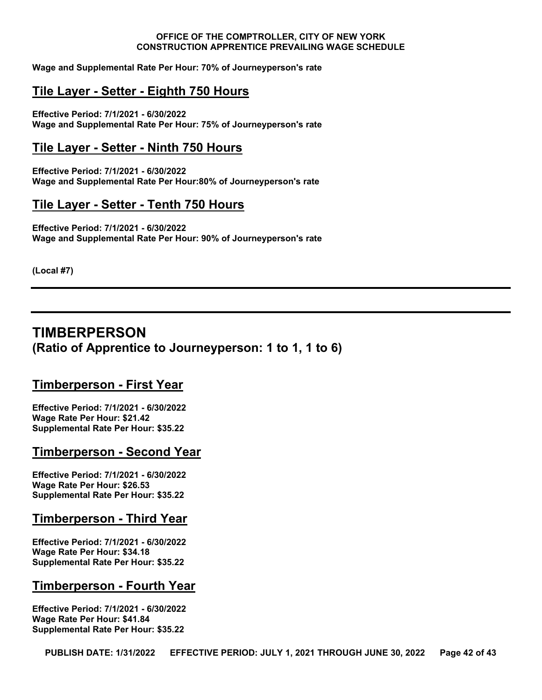**Wage and Supplemental Rate Per Hour: 70% of Journeyperson's rate**

#### **Tile Layer - Setter - Eighth 750 Hours**

**Effective Period: 7/1/2021 - 6/30/2022 Wage and Supplemental Rate Per Hour: 75% of Journeyperson's rate**

#### **Tile Layer - Setter - Ninth 750 Hours**

**Effective Period: 7/1/2021 - 6/30/2022 Wage and Supplemental Rate Per Hour:80% of Journeyperson's rate**

#### **Tile Layer - Setter - Tenth 750 Hours**

**Effective Period: 7/1/2021 - 6/30/2022 Wage and Supplemental Rate Per Hour: 90% of Journeyperson's rate**

**(Local #7)**

# <span id="page-41-0"></span>**TIMBERPERSON (Ratio of Apprentice to Journeyperson: 1 to 1, 1 to 6)**

#### **Timberperson - First Year**

**Effective Period: 7/1/2021 - 6/30/2022 Wage Rate Per Hour: \$21.42 Supplemental Rate Per Hour: \$35.22**

#### **Timberperson - Second Year**

**Effective Period: 7/1/2021 - 6/30/2022 Wage Rate Per Hour: \$26.53 Supplemental Rate Per Hour: \$35.22**

#### **Timberperson - Third Year**

**Effective Period: 7/1/2021 - 6/30/2022 Wage Rate Per Hour: \$34.18 Supplemental Rate Per Hour: \$35.22**

#### **Timberperson - Fourth Year**

**Effective Period: 7/1/2021 - 6/30/2022 Wage Rate Per Hour: \$41.84 Supplemental Rate Per Hour: \$35.22**